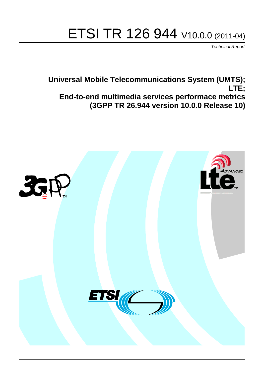# ETSI TR 126 944 V10.0.0 (2011-04)

*Technical Report*

**Universal Mobile Telecommunications System (UMTS); LTE; End-to-end multimedia services performace metrics (3GPP TR 26.944 version 10.0.0 Release 10)**

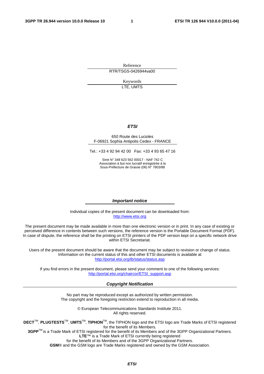Reference RTR/TSGS-0426944va00

> Keywords LTE, UMTS

#### *ETSI*

#### 650 Route des Lucioles F-06921 Sophia Antipolis Cedex - FRANCE

Tel.: +33 4 92 94 42 00 Fax: +33 4 93 65 47 16

Siret N° 348 623 562 00017 - NAF 742 C Association à but non lucratif enregistrée à la Sous-Préfecture de Grasse (06) N° 7803/88

#### *Important notice*

Individual copies of the present document can be downloaded from: [http://www.etsi.org](http://www.etsi.org/)

The present document may be made available in more than one electronic version or in print. In any case of existing or perceived difference in contents between such versions, the reference version is the Portable Document Format (PDF). In case of dispute, the reference shall be the printing on ETSI printers of the PDF version kept on a specific network drive within ETSI Secretariat.

Users of the present document should be aware that the document may be subject to revision or change of status. Information on the current status of this and other ETSI documents is available at <http://portal.etsi.org/tb/status/status.asp>

If you find errors in the present document, please send your comment to one of the following services: [http://portal.etsi.org/chaircor/ETSI\\_support.asp](http://portal.etsi.org/chaircor/ETSI_support.asp)

#### *Copyright Notification*

No part may be reproduced except as authorized by written permission. The copyright and the foregoing restriction extend to reproduction in all media.

> © European Telecommunications Standards Institute 2011. All rights reserved.

**DECT**TM, **PLUGTESTS**TM, **UMTS**TM, **TIPHON**TM, the TIPHON logo and the ETSI logo are Trade Marks of ETSI registered for the benefit of its Members.

**3GPP**TM is a Trade Mark of ETSI registered for the benefit of its Members and of the 3GPP Organizational Partners. **LTE**™ is a Trade Mark of ETSI currently being registered

for the benefit of its Members and of the 3GPP Organizational Partners.

**GSM**® and the GSM logo are Trade Marks registered and owned by the GSM Association.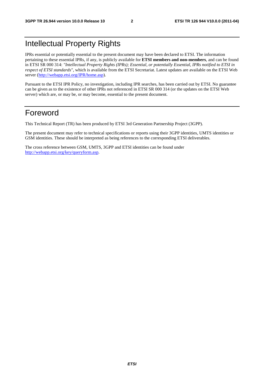## Intellectual Property Rights

IPRs essential or potentially essential to the present document may have been declared to ETSI. The information pertaining to these essential IPRs, if any, is publicly available for **ETSI members and non-members**, and can be found in ETSI SR 000 314: *"Intellectual Property Rights (IPRs); Essential, or potentially Essential, IPRs notified to ETSI in respect of ETSI standards"*, which is available from the ETSI Secretariat. Latest updates are available on the ETSI Web server [\(http://webapp.etsi.org/IPR/home.asp\)](http://webapp.etsi.org/IPR/home.asp).

Pursuant to the ETSI IPR Policy, no investigation, including IPR searches, has been carried out by ETSI. No guarantee can be given as to the existence of other IPRs not referenced in ETSI SR 000 314 (or the updates on the ETSI Web server) which are, or may be, or may become, essential to the present document.

## Foreword

This Technical Report (TR) has been produced by ETSI 3rd Generation Partnership Project (3GPP).

The present document may refer to technical specifications or reports using their 3GPP identities, UMTS identities or GSM identities. These should be interpreted as being references to the corresponding ETSI deliverables.

The cross reference between GSM, UMTS, 3GPP and ETSI identities can be found under [http://webapp.etsi.org/key/queryform.asp.](http://webapp.etsi.org/key/queryform.asp)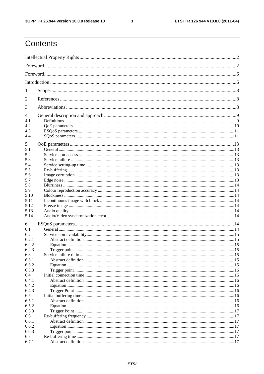$\mathbf{3}$ 

## Contents

| 1     |  |  |  |
|-------|--|--|--|
| 2     |  |  |  |
| 3     |  |  |  |
| 4     |  |  |  |
| 4.1   |  |  |  |
| 4.2   |  |  |  |
| 4.3   |  |  |  |
| 4.4   |  |  |  |
|       |  |  |  |
| 5     |  |  |  |
| 5.1   |  |  |  |
| 5.2   |  |  |  |
| 5.3   |  |  |  |
| 5.4   |  |  |  |
|       |  |  |  |
| 5.5   |  |  |  |
| 5.6   |  |  |  |
| 5.7   |  |  |  |
| 5.8   |  |  |  |
| 5.9   |  |  |  |
| 5.10  |  |  |  |
| 5.11  |  |  |  |
| 5.12  |  |  |  |
| 5.13  |  |  |  |
| 5.14  |  |  |  |
|       |  |  |  |
| 6     |  |  |  |
| 6.1   |  |  |  |
| 6.2   |  |  |  |
| 6.2.1 |  |  |  |
| 6.2.2 |  |  |  |
| 6.2.3 |  |  |  |
| 6.3   |  |  |  |
| 6.3.1 |  |  |  |
| 6.3.2 |  |  |  |
|       |  |  |  |
| 6.3.3 |  |  |  |
| 6.4   |  |  |  |
| 6.4.1 |  |  |  |
| 6.4.2 |  |  |  |
| 6.4.3 |  |  |  |
| 6.5   |  |  |  |
| 6.5.1 |  |  |  |
| 6.5.2 |  |  |  |
| 6.5.3 |  |  |  |
| 6.6   |  |  |  |
| 6.6.1 |  |  |  |
| 6.6.2 |  |  |  |
| 6.6.3 |  |  |  |
| 6.7   |  |  |  |
|       |  |  |  |
| 6.7.1 |  |  |  |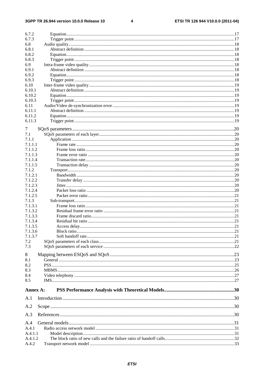#### $\overline{\mathbf{4}}$

| 6.7.2    |  |
|----------|--|
| 6.7.3    |  |
| 6.8      |  |
| 6.8.1    |  |
|          |  |
| 6.8.2    |  |
| 6.8.3    |  |
| 6.9      |  |
| 6.9.1    |  |
| 6.9.2    |  |
| 6.9.3    |  |
| 6.10     |  |
| 6.10.1   |  |
| 6.10.2   |  |
| 6.10.3   |  |
| 6.11     |  |
| 6.11.1   |  |
| 6.11.2   |  |
| 6.11.3   |  |
|          |  |
| 7        |  |
| 7.1      |  |
| 7.1.1    |  |
| 7.1.1.1  |  |
| 7.1.1.2  |  |
|          |  |
| 7.1.1.3  |  |
| 7.1.1.4  |  |
| 7.1.1.5  |  |
| 7.1.2    |  |
| 7.1.2.1  |  |
| 7.1.2.2  |  |
| 7.1.2.3  |  |
| 7.1.2.4  |  |
| 7.1.2.5  |  |
| 7.1.3    |  |
| 7.1.3.1  |  |
| 7.1.3.2  |  |
| 7.1.3.3  |  |
| 7.1.3.4  |  |
| 7.1.3.5  |  |
| 7.1.3.6  |  |
| 7.1.3.7  |  |
|          |  |
| 7.2      |  |
| 7.3      |  |
| $8\,$    |  |
| 8.1      |  |
| 8.2      |  |
|          |  |
| 8.3      |  |
| 8.4      |  |
| 8.5      |  |
|          |  |
| Annex A: |  |
| A.1      |  |
|          |  |
| A.2      |  |
|          |  |
| A.3      |  |
| A.4      |  |
|          |  |
| A.4.1    |  |
| A.4.1.1  |  |
| A.4.1.2  |  |
| A.4.2    |  |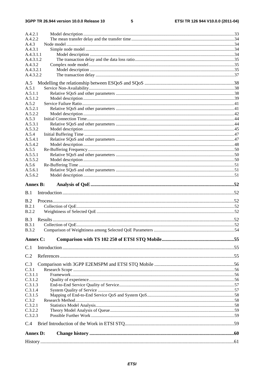#### $5\phantom{a}$

| Annex C:<br>C.1<br>C.2<br>C.3<br>C.3.1<br>C.3.1.1<br>C.3.1.2<br>C.3.1.3<br>C.3.1.4<br>C.3.1.5<br>C.3.2<br>C.3.2.1<br>C.3.2.2<br>C.3.2.3<br>C.4<br><b>Annex D:</b> |  |
|-------------------------------------------------------------------------------------------------------------------------------------------------------------------|--|
|                                                                                                                                                                   |  |
|                                                                                                                                                                   |  |
|                                                                                                                                                                   |  |
|                                                                                                                                                                   |  |
|                                                                                                                                                                   |  |
|                                                                                                                                                                   |  |
|                                                                                                                                                                   |  |
|                                                                                                                                                                   |  |
|                                                                                                                                                                   |  |
|                                                                                                                                                                   |  |
|                                                                                                                                                                   |  |
|                                                                                                                                                                   |  |
|                                                                                                                                                                   |  |
|                                                                                                                                                                   |  |
|                                                                                                                                                                   |  |
|                                                                                                                                                                   |  |
|                                                                                                                                                                   |  |
| <b>B.3.2</b>                                                                                                                                                      |  |
| <b>B.3.1</b>                                                                                                                                                      |  |
| B.3                                                                                                                                                               |  |
| <b>B.2.2</b>                                                                                                                                                      |  |
| B.2.1                                                                                                                                                             |  |
| B.2                                                                                                                                                               |  |
| B.1                                                                                                                                                               |  |
| <b>Annex B:</b>                                                                                                                                                   |  |
|                                                                                                                                                                   |  |
| A.5.6.2                                                                                                                                                           |  |
| A.5.6.1                                                                                                                                                           |  |
| A.5.6                                                                                                                                                             |  |
| A.5.5.2                                                                                                                                                           |  |
| A.5.5<br>A.5.5.1                                                                                                                                                  |  |
| A.5.4.2                                                                                                                                                           |  |
| A.5.4.1                                                                                                                                                           |  |
| A.5.4                                                                                                                                                             |  |
| A.5.3.2                                                                                                                                                           |  |
| A.5.3.1                                                                                                                                                           |  |
| A.5.3                                                                                                                                                             |  |
| A.5.2.2                                                                                                                                                           |  |
| A.5.2<br>A.5.2.1                                                                                                                                                  |  |
| A.5.1.2                                                                                                                                                           |  |
| A.5.1.1                                                                                                                                                           |  |
| A.5.1                                                                                                                                                             |  |
| A.5                                                                                                                                                               |  |
|                                                                                                                                                                   |  |
| A.4.3.2.1<br>A.4.3.2.2                                                                                                                                            |  |
| A.4.3.2                                                                                                                                                           |  |
|                                                                                                                                                                   |  |
| A.4.3.1.2                                                                                                                                                         |  |
| A.4.3.1.1                                                                                                                                                         |  |
| A.4.3.1                                                                                                                                                           |  |
| A.4.3                                                                                                                                                             |  |
| A.4.2.1<br>A.4.2.2                                                                                                                                                |  |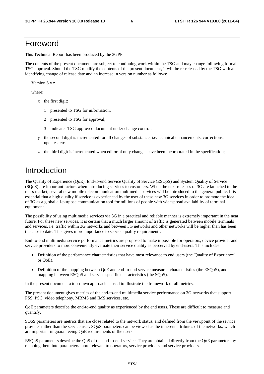## Foreword

This Technical Report has been produced by the 3GPP.

The contents of the present document are subject to continuing work within the TSG and may change following formal TSG approval. Should the TSG modify the contents of the present document, it will be re-released by the TSG with an identifying change of release date and an increase in version number as follows:

Version 3.y.z

where:

- x the first digit:
	- 1 presented to TSG for information;
	- 2 presented to TSG for approval;
	- 3 Indicates TSG approved document under change control.
- y the second digit is incremented for all changes of substance, i.e. technical enhancements, corrections, updates, etc.
- z the third digit is incremented when editorial only changes have been incorporated in the specification;

## Introduction

The Quality of Experience (QoE), End-to-end Service Quality of Service (ESQoS) and System Quality of Service (SQoS) are important factors when introducing services to customers. When the next releases of 3G are launched to the mass market, several new mobile telecommunication multimedia services will be introduced to the general public. It is essential that a high quality if service is experienced by the user of these new 3G services in order to promote the idea of 3G as a global all-purpose communication tool for millions of people with widespread availability of terminal equipment.

The possibility of using multimedia services via 3G in a practical and reliable manner is extremely important in the near future. For these new services, it is certain that a much larger amount of traffic is generated between mobile terminals and services, i.e. traffic within 3G networks and between 3G networks and other networks will be higher than has been the case to date. This gives more importance to service quality requirements.

End-to-end multimedia service performance metrics are proposed to make it possible for operators, device provider and service providers to more conveniently evaluate their service quality as perceived by end-users. This includes:

- Definition of the performance characteristics that have most relevance to end users (the 'Quality of Experience' or QoE).
- Definition of the mapping between QoE and end-to-end service measured characteristics (the ESQoS), and mapping between ESQoS and service specific characteristics (the SQoS).

In the present document a top-down approach is used to illustrate the framework of all metrics.

The present document gives metrics of the end-to-end multimedia service performance on 3G networks that support PSS, PSC, video telephony, MBMS and IMS services, etc.

QoE parameters describe the end-to-end quality as experienced by the end users. These are difficult to measure and quantify.

SQoS parameters are metrics that are close related to the network status, and defined from the viewpoint of the service provider rather than the service user. SQoS parameters can be viewed as the inherent attributes of the networks, which are important in guaranteeing QoE requirements of the users.

ESQoS parameters describe the QoS of the end-to-end service. They are obtained directly from the QoE parameters by mapping them into parameters more relevant to operators, service providers and service providers.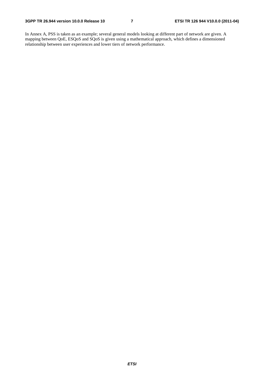In Annex A, PSS is taken as an example; several general models looking at different part of network are given. A mapping between QoE, ESQoS and SQoS is given using a mathematical approach, which defines a dimensioned relationship between user experiences and lower tiers of network performance.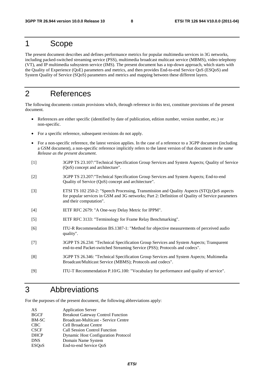## 1 Scope

The present document describes and defines performance metrics for popular multimedia services in 3G networks, including packed-switched streaming service (PSS), multimedia broadcast multicast service (MBMS), video telephony (VT), and IP multimedia subsystem service (IMS). The present document has a top-down approach, which starts with the Quality of Experience (QoE) parameters and metrics, and then provides End-to-end Service QoS (ESQoS) and System Quality of Service (SQoS) parameters and metrics and mapping between these different layers.

## 2 References

The following documents contain provisions which, through reference in this text, constitute provisions of the present document.

- References are either specific (identified by date of publication, edition number, version number, etc.) or non-specific.
- For a specific reference, subsequent revisions do not apply.
- For a non-specific reference, the latest version applies. In the case of a reference to a 3GPP document (including a GSM document), a non-specific reference implicitly refers to the latest version of that document *in the same Release as the present document*.
- [1] 3GPP TS 23.107:"Technical Specification Group Services and System Aspects; Quality of Service (QoS) concept and architecture".
- [2] 3GPP TS 23.207:"Technical Specification Group Services and System Aspects; End-to-end Quality of Service (QoS) concept and architecture".
- [3] ETSI TS 102 250-2: "Speech Processing, Transmission and Quality Aspects (STQ);QoS aspects for popular services in GSM and 3G networks; Part 2: Definition of Quality of Service parameters and their computation".
- [4] IETF RFC 2679: "A One-way Delay Metric for IPPM".
- [5] IETF RFC 3133: "Terminology for Frame Relay Benchmarking".
- [6] ITU-R Recommendation BS.1387-1: "Method for objective measurements of perceived audio quality".
- [7] 3GPP TS 26.234: "Technical Specification Group Services and System Aspects; Transparent end-to-end Packet-switched Streaming Service (PSS); Protocols and codecs".
- [8] 3GPP TS 26.346: "Technical Specification Group Services and System Aspects; Multimedia Broadcast/Multicast Service (MBMS); Protocols and codecs".
- [9] ITU-T Recommendation P.10/G.100: "Vocabulary for performance and quality of service".

## 3 Abbreviations

For the purposes of the present document, the following abbreviations apply:

| AS                        | <b>Application Server</b>                  |
|---------------------------|--------------------------------------------|
| <b>BGCF</b>               | <b>Breakout Gateway Control Function</b>   |
| <b>BM-SC</b>              | Broadcast-Multicast - Service Centre       |
| <b>CBC</b>                | <b>Cell Broadcast Centre</b>               |
| <b>CSCF</b>               | <b>Call Session Control Function</b>       |
| <b>DHCP</b>               | <b>Dynamic Host Configuration Protocol</b> |
| <b>DNS</b>                | Domain Name System                         |
| <b>ESO</b> <sub>o</sub> S | End-to-end Service QoS                     |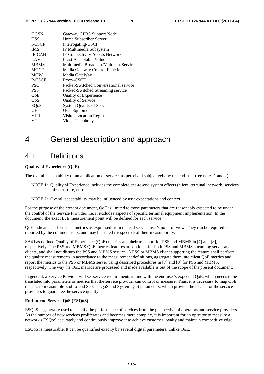| GGSN          | Gateway GPRS Support Node              |
|---------------|----------------------------------------|
| <b>HSS</b>    | Home Subscriber Server                 |
| <b>I-CSCF</b> | Interrogating-CSCF                     |
| <b>IMS</b>    | IP Multimedia Subsystem                |
| <b>IP-CAN</b> | <b>IP-Connectivity Access Network</b>  |
| LAV           | Least Acceptable Value                 |
| <b>MBMS</b>   | Multimedia Broadcast/Multicast Service |
| <b>MGCF</b>   | Media Gateway Control Function         |
| <b>MGW</b>    | Media GateWay                          |
| P-CSCF        | Proxy-CSCF                             |
| <b>PSC</b>    | Packet-Switched Conversational service |
| <b>PSS</b>    | Packed-Switched Streaming service      |
| OoE           | <b>Quality of Experience</b>           |
| QoS           | Quality of Service                     |
| SQoS          | <b>System Quality of Service</b>       |
| UE            | User Equipment                         |
| <b>VLR</b>    | Visitor Location Register              |
| VТ            | Video Telephony                        |

## 4 General description and approach

### 4.1 Definitions

#### **Quality of Experience (QoE)**

The overall acceptability of an application or service, as perceived subjectively by the end-user (see notes 1 and 2).

- NOTE 1: Quality of Experience includes the complete end-to-end system effects (client, terminal, network, services infrastructure, etc).
- NOTE 2: Overall acceptability may be influenced by user expectations and context.

For the purpose of the present document, QoE is limited to those parameters that are reasonably expected to be under the control of the Service Provider, i.e. it excludes aspects of specific terminal equipment implementation. In the document, the exact E2E measurement point will be defined for each service.

QoE indicates performance metrics as expressed from the end service user's point of view. They can be required or reported by the common users, and may be stated irrespective of their measurability.

SA4 has defined Quality of Experience (QoE) metrics and their transport for PSS and MBMS in [7] and [8], respectively. The PSS and MBMS QoE metrics features are optional for both PSS and MBMS streaming server and clients, and shall not disturb the PSS and MBMS service. A PSS or MBMS client supporting the feature shall perform the quality measurements in accordance to the measurement definitions, aggregate them into client QoE metrics and report the metrics to the PSS or MBMS server using described procedures in [7] and [8] for PSS and MBMS, respectively. The way the QoE metrics are processed and made available is out of the scope of the present document.

In general, a Service Provider will set service requirements in line with the end-user's expected QoE, which needs to be translated into parameters or metrics that the service provider can control or measure. Thus, it is necessary to map QoE metrics to measurable End-to-end Service QoS and System QoS parameters, which provide the means for the service providers to guarantee the service quality.

#### **End-to-end Service QoS (ESQoS)**

ESQoS is generally used to specify the performance of services from the perspective of operators and service providers. As the number of new services proliferates and becomes more complex, it is important for an operator to measure a network's ESQoS accurately and continuously improve it to achieve customer loyalty and maintain competitive edge.

ESQoS is measurable. It can be quantified exactly by several digital parameters, unlike QoE.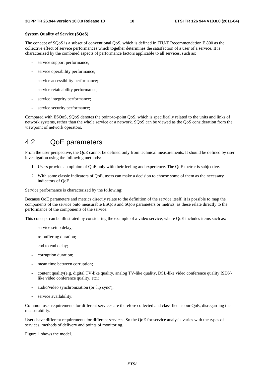#### **System Quality of Service (SQoS)**

The concept of SQoS is a subset of conventional QoS, which is defined in ITU-T Recommendation E.800 as the collective effect of service performances which together determines the satisfaction of a user of a service. It is characterized by the combined aspects of performance factors applicable to all services, such as:

- service support performance;
- service operability performance;
- service accessibility performance;
- service retainability performance;
- service integrity performance;
- service security performance;

Compared with ESQoS, SQoS denotes the point-to-point QoS, which is specifically related to the units and links of network systems, rather than the whole service or a network. SQoS can be viewed as the QoS consideration from the viewpoint of network operators.

## 4.2 QoE parameters

From the user perspective, the QoE cannot be defined only from technical measurements. It should be defined by user investigation using the following methods:

- 1. Users provide an opinion of QoE only with their feeling and experience. The QoE metric is subjective.
- 2. With some classic indicators of QoE, users can make a decision to choose some of them as the necessary indicators of QoE.

Service performance is characterized by the following:

Because QoE parameters and metrics directly relate to the definition of the service itself, it is possible to map the components of the service onto measurable ESQoS and SQoS parameters or metrics, as these relate directly to the performance of the components of the service.

This concept can be illustrated by considering the example of a video service, where QoE includes items such as:

- service setup delay;
- re-buffering duration:
- end to end delay;
- corruption duration;
- mean time between corruption;
- content quality(e.g. digital TV-like quality, analog TV-like quality, DSL-like video conference quality ISDNlike video conference quality, etc.);
- audio/video synchronization (or 'lip sync');
- service availability.

Common user requirements for different services are therefore collected and classified as our QoE, disregarding the measurability.

Users have different requirements for different services. So the QoE for service analysis varies with the types of services, methods of delivery and points of monitoring.

Figure 1 shows the model.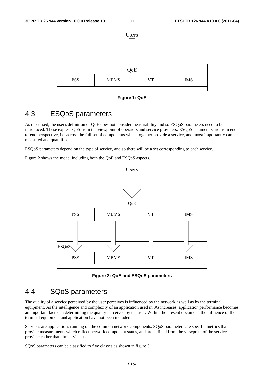

**Figure 1: QoE** 

## 4.3 ESQoS parameters

As discussed, the user's definition of QoE does not consider measurability and so ESQoS parameters need to be introduced. These express QoS from the viewpoint of operators and service providers. ESQoS parameters are from endto-end perspective, i.e. across the full set of components which together provide a service, and, most importantly can be measured and quantified.

ESQoS parameters depend on the type of service, and so there will be a set corresponding to each service.

Figure 2 shows the model including both the QoE and ESQoS aspects.



**Figure 2: QoE and ESQoS parameters** 

## 4.4 SQoS parameters

The quality of a service perceived by the user perceives is influenced by the network as well as by the terminal equipment. As the intelligence and complexity of an application used in 3G increases, application performance becomes an important factor in determining the quality perceived by the user. Within the present document, the influence of the terminal equipment and application have not been included.

Services are applications running on the common network components. SQoS parameters are specific metrics that provide measurements which reflect network component status, and are defined from the viewpoint of the service provider rather than the service user.

SQoS parameters can be classified to five classes as shown in figure 3.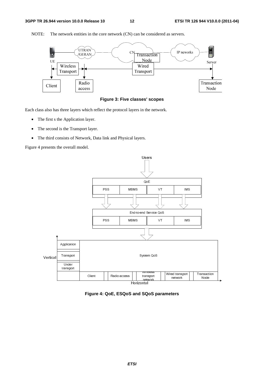

NOTE: The network entities in the core network (CN) can be considered as servers.



Each class also has three layers which reflect the protocol layers in the network.

- The first s the Application layer.
- The second is the Transport layer.
- The third consists of Network, Data link and Physical layers.

Figure 4 presents the overall model.



**Figure 4: QoE, ESQoS and SQoS parameters**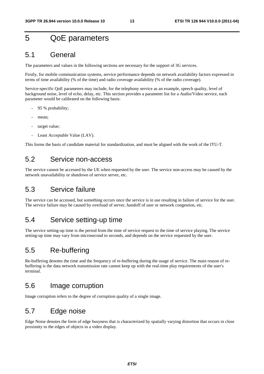## 5 QoE parameters

### 5.1 General

The parameters and values in the following sections are necessary for the support of 3G services.

Firstly, for mobile communication systems, service performance depends on network availability factors expressed in terms of time availability (% of the time) and radio coverage availability (% of the radio coverage).

Service-specific QoE parameters may include, for the telephony service as an example, speech quality, level of background noise, level of echo, delay, etc. This section provides a parameter list for a Audio/Video service, each parameter would be calibrated on the following basis:

- 95 % probability;
- mean;
- target value:
- Least Acceptable Value (LAV).

This forms the basis of candidate material for standardization, and must be aligned with the work of the ITU-T.

## 5.2 Service non-access

The service cannot be accessed by the UE when requested by the user. The service non-access may be caused by the network unavailability or shutdown of service server, etc.

### 5.3 Service failure

The service can be accessed, but something occurs once the service is in use resulting in failure of service for the user. The service failure may be caused by overload of server, handoff of user or network congestion, etc.

### 5.4 Service setting-up time

The service setting-up time is the period from the time of service request to the time of service playing. The service setting-up time may vary from microsecond to seconds, and depends on the service requested by the user.

## 5.5 Re-buffering

Re-buffering denotes the time and the frequency of re-buffering during the usage of service. The main reason of rebuffering is the data network transmission rate cannot keep up with the real-time play requirements of the user's terminal.

### 5.6 Image corruption

Image corruption refers to the degree of corruption quality of a single image.

## 5.7 Edge noise

Edge Noise denotes the form of edge busyness that is characterized by spatially varying distortion that occurs in close proximity to the edges of objects in a video display.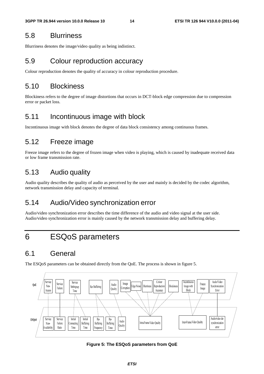## 5.8 Blurriness

Blurriness denotes the image/video quality as being indistinct.

## 5.9 Colour reproduction accuracy

Colour reproduction denotes the quality of accuracy in colour reproduction procedure.

## 5.10 Blockiness

Blockiness refers to the degree of image distortions that occurs in DCT-block edge compression due to compression error or packet loss.

## 5.11 Incontinuous image with block

Incontinuous image with block denotes the degree of data block consistency among continuous frames.

## 5.12 Freeze image

Freeze image refers to the degree of frozen image when video is playing, which is caused by inadequate received data or low frame transmission rate.

## 5.13 Audio quality

Audio quality describes the quality of audio as perceived by the user and mainly is decided by the codec algorithm, network transmission delay and capacity of terminal.

## 5.14 Audio/Video synchronization error

Audio/video synchronization error describes the time difference of the audio and video signal at the user side. Audio/video synchronization error is mainly caused by the network transmission delay and buffering delay.

## 6 ESQoS parameters

## 6.1 General

The ESQoS parameters can be obtained directly from the QoE. The process is shown in figure 5.



**Figure 5: The ESQoS parameters from QoE**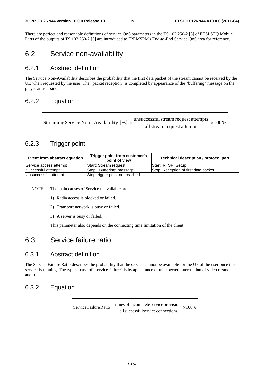There are perfect and reasonable definitions of service QoS parameters in the TS 102 250-2 [3] of ETSI STQ Mobile. Parts of the outputs of TS 102 250-2 [3] are introduced to E2EMSPM's End-to-End Service QoS area for reference.

## 6.2 Service non-availability

### 6.2.1 Abstract definition

The Service Non-Availability describes the probability that the first data packet of the stream cannot be received by the UE when requested by the user. The "packet reception" is completed by appearance of the "buffering" message on the player at user side.

### 6.2.2 Equation

| Streaming Service Non - Availability [%] = $\frac{\text{unsuccessful stream request attempts}}{\text{}}$ × 100 % |
|------------------------------------------------------------------------------------------------------------------|
| all stream request attempts                                                                                      |

### 6.2.3 Trigger point

| Event from abstract equation | Trigger point from customer's<br>point of view | Technical description / protocol part |
|------------------------------|------------------------------------------------|---------------------------------------|
| Service access attempt       | lStart: Stream reguest                         | Start: RTSP: Setup                    |
| Successful attempt           | Stop: "Buffering" message                      | Stop: Reception of first data packet  |
| Unsuccessful attempt         | Stop trigger point not reached.                |                                       |

NOTE: The main causes of Service unavailable are:

- 1) Radio access is blocked or failed.
- 2) Transport network is busy or failed.
- 3) A server is busy or failed.

This parameter also depends on the connecting time limitation of the client.

## 6.3 Service failure ratio

### 6.3.1 Abstract definition

The Service Failure Ratio describes the probability that the service cannot be available for the UE of the user once the service is running. The typical case of "service failure" is by appearance of unexpected interruption of video or/and audio.

### 6.3.2 Equation

 $\times100\%$ allsuccessfulservice connections Service Failure Ratio =  $\frac{\text{times of incomplete service provision}}{1}$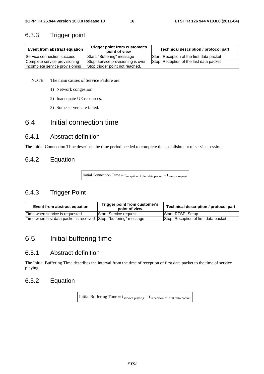### 6.3.3 Trigger point

| Event from abstract equation    | Trigger point from customer's<br>point of view | Technical description / protocol part     |
|---------------------------------|------------------------------------------------|-------------------------------------------|
| Service connection succeed      | Start: "Buffering" message                     | Start: Reception of the first data packet |
| Complete service provisioning   | Stop: service provisioning is over             | Stop: Reception of the last data packet   |
| incomplete service provisioning | Stop trigger point not reached.                |                                           |

NOTE: The main causes of Service Failure are:

- 1) Network congestion.
- 2) Inadequate UE resources.
- 3) Some servers are failed.

## 6.4 Initial connection time

### 6.4.1 Abstract definition

The Initial Connection Time describes the time period needed to complete the establishment of service session.

### 6.4.2 Equation

Initial Connection Time =  $t_{reception of first data packet} - t_{service request}$ 

### 6.4.3 Trigger Point

| Event from abstract equation                                       | Trigger point from customer's<br>point of view | Technical description / protocol part |
|--------------------------------------------------------------------|------------------------------------------------|---------------------------------------|
| Time when service is requested                                     | <b>Start: Service request</b>                  | <b>Start: RTSP: Setup</b>             |
| Time when first data packet is received Sttop: "buffering" message |                                                | Stop: Reception of first data packet  |

## 6.5 Initial buffering time

### 6.5.1 Abstract definition

The Initial Buffering Time describes the interval from the time of reception of first data packet to the time of service playing.

### 6.5.2 Equation

Initial Buffering Time =  $t_{\text{service playing}} - t_{\text{reception of first data packet}}$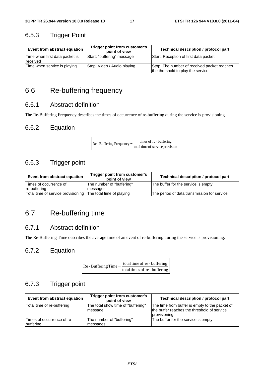## 6.5.3 Trigger Point

| Event from abstract equation               | Trigger point from customer's<br>point of view | Technical description / protocol part                                            |
|--------------------------------------------|------------------------------------------------|----------------------------------------------------------------------------------|
| Time when first data packet is<br>received | Start: "buffering" message                     | Start: Reception of first data packet                                            |
| Time when service is playing               | Stop: Video / Audio playing                    | Stop: The number of received packet reaches<br>the threshold to play the service |

## 6.6 Re-buffering frequency

### 6.6.1 Abstract definition

The Re-Buffering Frequency describes the times of occurrence of re-buffering during the service is provisioning.

### 6.6.2 Equation

 $\text{Re}$  - Buffering Frequency =  $\frac{\text{times of re} \cdot \text{buffering}}{\text{total time of service provision}}$ 

### 6.6.3 Trigger point

| Event from abstract equation       | Trigger point from customer's<br>point of view | Technical description / protocol part       |
|------------------------------------|------------------------------------------------|---------------------------------------------|
| Times of occurrence of             | The number of "buffering"                      | The buffer for the service is empty         |
| re-buffering                       | messages                                       |                                             |
| Total time of service provisioning | The total time of playing                      | The period of data transmission for service |

## 6.7 Re-buffering time

### 6.7.1 Abstract definition

The Re-Buffering Time describes the average time of an event of re-buffering during the service is provisioning.

### 6.7.2 Equation

| $Re$ - Buffering Time = $\frac{10}{10}$ | total time of re-buffering    |
|-----------------------------------------|-------------------------------|
|                                         | total times of re - buffering |

### 6.7.3 Trigger point

| Event from abstract equation            | Trigger point from customer's<br>point of view | <b>Technical description / protocol part</b>                                                                  |
|-----------------------------------------|------------------------------------------------|---------------------------------------------------------------------------------------------------------------|
| Total time of re-buffering              | The total show time of "buffering"<br>message  | The time from buffer is empty to the packet of<br>the buffer reaches the threshold of service<br>provisioning |
| Times of occurrence of re-<br>buffering | The number of "buffering"<br>messages          | The buffer for the service is empty                                                                           |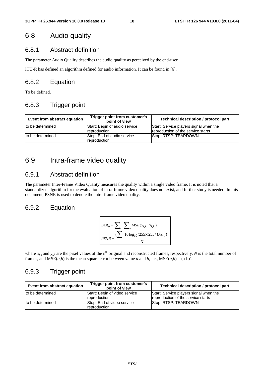## 6.8 Audio quality

### 6.8.1 Abstract definition

The parameter Audio Quality describes the audio quality as perceived by the end-user.

ITU-R has defined an algorithm defined for audio information. It can be found in [6].

### 6.8.2 Equation

To be defined.

### 6.8.3 Trigger point

| Event from abstract equation | Trigger point from customer's<br>point of view | <b>Technical description / protocol part</b>                                 |
|------------------------------|------------------------------------------------|------------------------------------------------------------------------------|
| to be determined             | Start: Begin of audio service<br>reproduction  | Start: Service players signal when the<br>reproduction of the service starts |
| to be determined             | Stop: End of audio service<br>reproduction     | Stop: RTSP: TEARDOWN                                                         |

## 6.9 Intra-frame video quality

### 6.9.1 Abstract definition

The parameter Inter-Frame Video Quality measures the quality within a single video frame. It is noted that a standardized algorithm for the evaluation of intra-frame video quality does not exist, and further study is needed. In this document, PSNR is used to denote the intra-frame video quality.

### 6.9.2 Equation

$$
Dist_n = \sum_{i} \sum_{k} MSE(x_{i,k}, y_{i,k})
$$
  
PSNR = 
$$
\frac{\sum_{i} 10 \log_{10}(255 \times 255/Dist_n))}{N}
$$

where  $x_{jk}$  and  $y_{jk}$  are the pixel values of the n<sup>th</sup> original and reconstructed frames, respectively, *N* is the total number of frames, and  $MSE(a,b)$  is the mean square error between value *a* and *b*, i.e.,  $MSE(a,b) = (a-b)^2$ .

### 6.9.3 Trigger point

| Event from abstract equation | Trigger point from customer's<br>point of view | Technical description / protocol part                                        |
|------------------------------|------------------------------------------------|------------------------------------------------------------------------------|
| to be determined             | Start: Begin of video service<br>reproduction  | Start: Service players signal when the<br>reproduction of the service starts |
| to be determined             | Stop: End of video service<br>reproduction     | Stop: RTSP: TEARDOWN                                                         |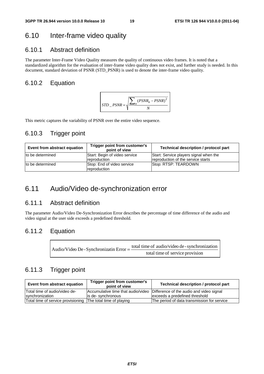## 6.10 Inter-frame video quality

### 6.10.1 Abstract definition

The parameter Inter-Frame Video Quality measures the quality of continuous video frames. It is noted that a standardized algorithm for the evaluation of inter-frame video quality does not exist, and further study is needed. In this document, standard deviation of PSNR (STD\_PSNR) is used to denote the inter-frame video quality.

### 6.10.2 Equation



This metric captures the variability of PSNR over the entire video sequence.

### 6.10.3 Trigger point

| Event from abstract equation | Trigger point from customer's<br>point of view | Technical description / protocol part                                        |
|------------------------------|------------------------------------------------|------------------------------------------------------------------------------|
| to be determined             | Start: Begin of video service<br>reproduction  | Start: Service players signal when the<br>reproduction of the service starts |
| Ito be determined            | Stop: End of video service<br>reproduction     | Stop: RTSP: TEARDOWN                                                         |

## 6.11 Audio/Video de-synchronization error

### 6.11.1 Abstract definition

The parameter Audio/Video De-Synchronization Error describes the percentage of time difference of the audio and video signal at the user side exceeds a predefined threshold.

### 6.11.2 Equation

| Audio/Video De - Synchronizatin Error = - | total time of audio/video de - synchronization |
|-------------------------------------------|------------------------------------------------|
|                                           | total time of service provision                |

### 6.11.3 Trigger point

| Event from abstract equation                                 | Trigger point from customer's<br>point of view | Technical description / protocol part                                       |
|--------------------------------------------------------------|------------------------------------------------|-----------------------------------------------------------------------------|
| ITotal time of audio/video de-                               |                                                | Accumulative time that audio/video Difference of the audio and video signal |
| synchronization                                              | lis de-synchronous                             | exceeds a predefined threshold                                              |
| Total time of service provisioning The total time of playing |                                                | The period of data transmission for service                                 |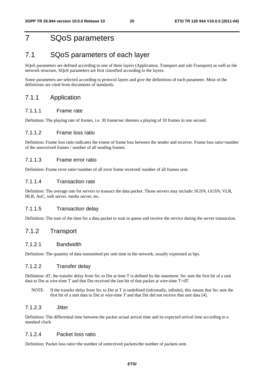## 7 SQoS parameters

## 7.1 SQoS parameters of each layer

SQoS parameters are defined according to one of three layers (Application, Transport and sub-Transport) as well as the network structure, SQoS parameters are first classified according to the layers.

Some parameters are selected according to protocol layers and give the definitions of each parameter. Most of the definitions are cited from documents of standards.

#### 7.1.1 Application

#### 7.1.1.1 Frame rate

Definition: The playing rate of frames, i.e. 30 frame/sec denotes a playing of 30 frames in one second.

#### 7.1.1.2 Frame loss ratio

Definition: Frame loss ratio indicates the extent of frame loss between the sender and receiver. Frame loss ratio=number of the unreceived frames / number of all sending frames.

#### 7.1.1.3 Frame error ratio

Definition: Frame error ratio=number of all error frame received/ number of all frames sent.

#### 7.1.1.4 Transaction rate

Definition: The average rate for servers to transact the data packet. Those servers may include: SGSN, GGSN, VLR, HLR, AuC, web server, media server, etc.

#### 7.1.1.5 Transaction delay

Definition: The sum of the time for a data packet to wait in queue and receive the service during the server transaction.

### 7.1.2 Transport

#### 7.1.2.1 Bandwidth

Definition: The quantity of data transmitted per unit time in the network, usually expressed as bps.

#### 7.1.2.2 Transfer delay

Definition: dT, the transfer delay from Src to Dst at time T is defined by the statement: Src sent the first bit of a unit data to Dst at wire-time T and that Dst received the last bit of that packet at wire-time T+dT.

NOTE: If the transfer delay from Src to Dst at T is undefined (informally, infinite), this means that Src sent the first bit of a unit data to Dst at wire-time T and that Dst did not receive that unit data [4].

#### 7.1.2.3 Jitter

Definition: The differential time between the packet actual arrival time and its expected arrival time according to a standard clock.

#### 7.1.2.4 Packet loss ratio

Definition: Packet loss ratio=the number of unreceived packets/the number of packets sent.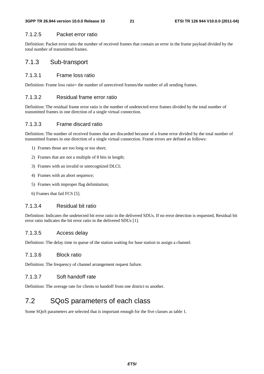#### 7.1.2.5 Packet error ratio

Definition: Packet error ratio the number of received frames that contain an error in the frame payload divided by the total number of transmitted frames.

### 7.1.3 Sub-transport

#### 7.1.3.1 Frame loss ratio

Definition: Frame loss ratio= the number of unreceived frames/the number of all sending frames.

#### 7.1.3.2 Residual frame error ratio

Definition: The residual frame error ratio is the number of undetected error frames divided by the total number of transmitted frames in one direction of a single virtual connection.

#### 7.1.3.3 Frame discard ratio

Definition: The number of received frames that are discarded because of a frame error divided by the total number of transmitted frames in one direction of a single virtual connection. Frame errors are defined as follows:

- 1) Frames those are too long or too short;
- 2) Frames that are not a multiple of 8 bits in length;
- 3) Frames with an invalid or unrecognized DLCI;
- 4) Frames with an abort sequence;
- 5) Frames with improper flag delimitation;
- 6) Frames that fail FCS [5].

#### 7.1.3.4 Residual bit ratio

Definition: Indicates the undetected bit error ratio in the delivered SDUs. If no error detection is requested, Residual bit error ratio indicates the bit error ratio in the delivered SDUs [1].

#### 7.1.3.5 Access delay

Definition: The delay time in queue of the station waiting for base station to assign a channel.

#### 7.1.3.6 Block ratio

Definition: The frequency of channel arrangement request failure.

#### 7.1.3.7 Soft handoff rate

Definition: The average rate for clients to handoff from one district to another.

## 7.2 SQoS parameters of each class

Some SQoS parameters are selected that is important enough for the five classes as table 1.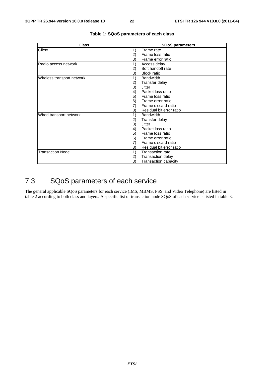| <b>Class</b>               | <b>SQoS parameters</b>                       |  |  |  |
|----------------------------|----------------------------------------------|--|--|--|
| Client                     | 1)<br>Frame rate                             |  |  |  |
|                            | Frame loss ratio                             |  |  |  |
|                            | Frame error ratio<br>3)                      |  |  |  |
| Radio access network       | 1)<br>Access delay                           |  |  |  |
|                            | Soft handoff rate                            |  |  |  |
|                            | <b>Block ratio</b><br>3)                     |  |  |  |
| Wireless transport network | 1)<br><b>Bandwidth</b>                       |  |  |  |
|                            | Transfer delay<br>2)                         |  |  |  |
|                            | 3)<br>Jitter                                 |  |  |  |
|                            | Packet loss ratio<br>$\left( 4\right)$       |  |  |  |
|                            | 5)<br>Frame loss ratio                       |  |  |  |
|                            | 6)<br>Frame error ratio                      |  |  |  |
|                            | Frame discard ratio                          |  |  |  |
|                            | Residual bit error ratio<br> 8)              |  |  |  |
| Wired transport network    | <b>Bandwidth</b><br>1)                       |  |  |  |
|                            | Transfer delay<br>$\left( 2\right)$          |  |  |  |
|                            | 3)<br><b>Jitter</b>                          |  |  |  |
|                            | 4)<br>Packet loss ratio                      |  |  |  |
|                            | 5)<br>Frame loss ratio                       |  |  |  |
|                            | 6)<br>Frame error ratio                      |  |  |  |
|                            | Frame discard ratio                          |  |  |  |
|                            | Residual bit error ratio<br>$\vert 8\rangle$ |  |  |  |
| <b>Transaction Node</b>    | 1)<br><b>Transaction rate</b>                |  |  |  |
|                            | <b>Transaction delay</b><br>2)               |  |  |  |
|                            | 3)<br><b>Transaction capacity</b>            |  |  |  |

#### **Table 1: SQoS parameters of each class**

## 7.3 SQoS parameters of each service

The general applicable SQoS parameters for each service (IMS, MBMS, PSS, and Video Telephone) are listed in table 2 according to both class and layers. A specific list of transaction node SQoS of each service is listed in table 3.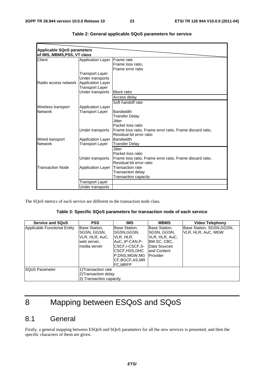| Applicable SQoS parameters  |                          |                                                           |
|-----------------------------|--------------------------|-----------------------------------------------------------|
| of IMS, MBMS, PSS, VT class |                          |                                                           |
| Client                      | <b>Application Layer</b> | <b>IFrame</b> rate                                        |
|                             |                          | Frame loss ratio,                                         |
|                             |                          | Frame error ratio                                         |
|                             | Transport Layer          |                                                           |
|                             | Under transports         |                                                           |
| Radio access network        | <b>Application Layer</b> |                                                           |
|                             | <b>Transport Layer</b>   |                                                           |
|                             | Under transports         | <b>Block ratio</b>                                        |
|                             |                          | Access delay                                              |
|                             |                          | Soft handoff rate                                         |
| Wireless transport          | <b>Application Layer</b> |                                                           |
| <b>Network</b>              | Transport Layer          | Bandwidth                                                 |
|                             |                          | <b>Transfer Delay</b>                                     |
|                             |                          | Jitter                                                    |
|                             |                          | Packet loss ratio                                         |
|                             | Under transports         | Frame loss ratio, Frame error ratio, Frame discard ratio, |
|                             |                          | Residual bit error ratio                                  |
| Wired transport             | <b>Application Layer</b> | Bandwidth                                                 |
| <b>Network</b>              | Transport Layer          | <b>Transfer Delay</b>                                     |
|                             |                          | <b>Jitter</b>                                             |
|                             |                          | Packet loss ratio                                         |
|                             | Under transports         | Frame loss ratio, Frame error ratio, Frame discard ratio, |
|                             |                          | Residual bit error ratio                                  |
| <b>Transaction Node</b>     | <b>Application Layer</b> | Transaction rate                                          |
|                             |                          | Transaction delay                                         |
|                             |                          | Transaction capacity                                      |
|                             | Transport Layer          |                                                           |
|                             | Under transports         |                                                           |

| Table 2: General applicable SQoS parameters for service |  |  |  |  |
|---------------------------------------------------------|--|--|--|--|
|---------------------------------------------------------|--|--|--|--|

The SQoS metrics of each service are different in the transaction node class.

#### **Table 3: Specific SQoS parameters for transaction node of each service**

| <b>Service and SQoS</b>      | <b>PSS</b>                                                                     | IMS                                                                                                                                                   | <b>MBMS</b>                                                                                                        | <b>Video Telephony</b>                          |
|------------------------------|--------------------------------------------------------------------------------|-------------------------------------------------------------------------------------------------------------------------------------------------------|--------------------------------------------------------------------------------------------------------------------|-------------------------------------------------|
| Applicable Functional Entity | Base Station,<br>SGSN, GGSN,<br>VLR, HLR, AuC,<br>web server,<br>Imedia server | Base Station,<br>ISGSN.GGSN.<br>IVLR, HLR,<br>IAuCIP-CAN.P-<br>ICSCF.I-CSCF.S-<br>ICSCF,HSS,DHC<br>P.DNS.MGW.MG<br>CF, BGCF, AS, MR<br><b>FC.MRFP</b> | Base Station,<br>SGSN, GGSN,<br>VLR, HLR, AuC,<br>IBM-SC, CBC,<br>Data Sources<br>land Content<br><b>IProvider</b> | Base Station, SGSN, GGSN,<br>VLR, HLR, AuC, MGW |
| <b>SQoS Parameter</b>        | 1) Transaction rate<br>2) Transaction delay<br>3) Transaction capacity         |                                                                                                                                                       |                                                                                                                    |                                                 |

## 8 Mapping between ESQoS and SQoS

## 8.1 General

Firstly, a general mapping between ESQoS and SQoS parameters for all the new services is presented, and then the specific characters of them are given.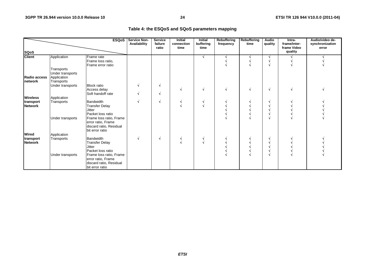#### **Table 4: the ESQoS and SQoS parameters mapping**

| <b>ESQoS</b>                    |                                                             |                                                                                             | Service Non-<br>Availability | <b>Service</b><br>failure<br>ratio | <b>Initial</b><br>connection<br>time | <b>Initial</b><br>buffering<br>time | Rebuffering<br>frequency | Rebuffering<br>time | <b>Audio</b><br>quality | Intra-<br>frame/inter-<br>frame Video | Audio/video de-<br>synchronization<br>error |
|---------------------------------|-------------------------------------------------------------|---------------------------------------------------------------------------------------------|------------------------------|------------------------------------|--------------------------------------|-------------------------------------|--------------------------|---------------------|-------------------------|---------------------------------------|---------------------------------------------|
| <b>SQoS</b>                     |                                                             |                                                                                             |                              |                                    |                                      |                                     |                          |                     |                         | quality                               |                                             |
| <b>Client</b>                   | Application                                                 | Frame rate<br>Frame loss ratio,<br>Frame error ratio                                        |                              |                                    |                                      |                                     |                          |                     |                         |                                       |                                             |
| Radio access<br><b>Inetwork</b> | Transports<br>Under transports<br>Application<br>Transports |                                                                                             |                              |                                    |                                      |                                     |                          |                     |                         |                                       |                                             |
|                                 | Under transports                                            | <b>Block ratio</b><br>Access delay<br>Soft handoff rate                                     |                              |                                    |                                      |                                     |                          |                     | N                       |                                       |                                             |
| <b>Wireless</b>                 | Application                                                 |                                                                                             |                              |                                    |                                      |                                     |                          |                     |                         |                                       |                                             |
| transport<br><b>Network</b>     | Transports                                                  | <b>Bandwidth</b><br><b>Transfer Delay</b><br><b>Jitter</b><br>Packet loss ratio             |                              |                                    |                                      |                                     |                          |                     |                         |                                       |                                             |
|                                 | Under transports                                            | Frame loss ratio, Frame<br>error ratio, Frame<br>discard ratio, Residual<br>bit error ratio |                              |                                    |                                      |                                     |                          |                     |                         |                                       |                                             |
| <b>Wired</b>                    | Application                                                 |                                                                                             |                              |                                    |                                      |                                     |                          |                     |                         |                                       |                                             |
| transport<br><b>Network</b>     | Transports                                                  | <b>Bandwidth</b><br><b>Transfer Delay</b><br><b>Jitter</b><br>Packet loss ratio             |                              |                                    |                                      |                                     |                          |                     |                         |                                       |                                             |
|                                 | Under transports                                            | Frame loss ratio, Frame<br>error ratio, Frame<br>discard ratio, Residual<br>bit error ratio |                              |                                    |                                      |                                     |                          |                     |                         |                                       |                                             |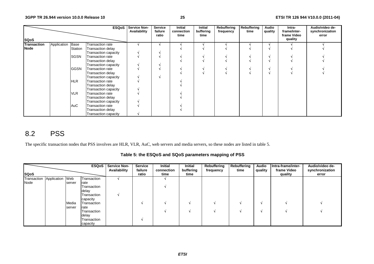|                    |             |             | <b>ESQoS</b>                | Service Non-<br>Availability | Service<br>failure<br>ratio | Initial<br>connection<br>time | Initial<br>buffering<br>time | Rebuffering<br>frequency | Rebuffering<br>time | Audio<br>quality | Intra-<br>frame/inter-<br>frame Video | Audio/video de-<br>synchronization<br>error |
|--------------------|-------------|-------------|-----------------------------|------------------------------|-----------------------------|-------------------------------|------------------------------|--------------------------|---------------------|------------------|---------------------------------------|---------------------------------------------|
| <b>SQoS</b>        |             |             |                             |                              |                             |                               |                              |                          |                     |                  | quality                               |                                             |
| <b>Transaction</b> | Application | Base        | Transaction rate            |                              |                             |                               |                              |                          |                     |                  |                                       |                                             |
| <b>Node</b>        |             | Station     | Transaction delay           |                              |                             |                               |                              |                          |                     |                  |                                       |                                             |
|                    |             |             | Transaction capacity        |                              |                             |                               |                              |                          |                     |                  |                                       |                                             |
|                    |             | <b>SGSN</b> | <b>Transaction rate</b>     |                              |                             |                               |                              |                          |                     |                  |                                       |                                             |
|                    |             |             | Transaction delay           |                              |                             |                               |                              |                          |                     |                  |                                       |                                             |
|                    |             |             | Transaction capacity        |                              |                             |                               |                              |                          |                     |                  |                                       |                                             |
|                    |             | <b>GGSN</b> | Transaction rate            |                              |                             |                               |                              |                          |                     |                  |                                       |                                             |
|                    |             |             | Transaction delay           |                              |                             |                               |                              |                          |                     |                  |                                       |                                             |
|                    |             |             | Transaction capacity        |                              |                             |                               |                              |                          |                     |                  |                                       |                                             |
|                    |             | <b>HLR</b>  | <b>Transaction rate</b>     |                              |                             |                               |                              |                          |                     |                  |                                       |                                             |
|                    |             |             | Transaction delay           |                              |                             |                               |                              |                          |                     |                  |                                       |                                             |
|                    |             |             | Transaction capacity        |                              |                             |                               |                              |                          |                     |                  |                                       |                                             |
|                    |             | <b>VLR</b>  | <b>Transaction rate</b>     |                              |                             |                               |                              |                          |                     |                  |                                       |                                             |
|                    |             |             | Transaction delay           |                              |                             |                               |                              |                          |                     |                  |                                       |                                             |
|                    |             |             | Transaction capacity        |                              |                             |                               |                              |                          |                     |                  |                                       |                                             |
|                    |             | AuC         | <b>Transaction rate</b>     |                              |                             |                               |                              |                          |                     |                  |                                       |                                             |
|                    |             |             | Transaction delay           |                              |                             |                               |                              |                          |                     |                  |                                       |                                             |
|                    |             |             | <b>Transaction capacity</b> |                              |                             |                               |                              |                          |                     |                  |                                       |                                             |

## 8.2 PSS

The specific transaction nodes that PSS involves are HLR, VLR, AuC, web servers and media servers, so these nodes are listed in table 5.

**Table 5: the ESQoS and SQoS parameters mapping of PSS** 

|             |                 |        |             | <b>ESQoS</b> Service Non-<br>Availability | <b>Service</b><br>failure | Initial<br>connection | Initial<br>buffering | Rebuffering<br>frequency | Rebuffering<br>time | <b>Audio</b><br>quality | Intra-frame/inter-<br>frame Video | Audio/video de-<br>synchronization |
|-------------|-----------------|--------|-------------|-------------------------------------------|---------------------------|-----------------------|----------------------|--------------------------|---------------------|-------------------------|-----------------------------------|------------------------------------|
| <b>SQoS</b> |                 |        |             |                                           | ratio                     | time                  | time                 |                          |                     |                         | quality                           | error                              |
| Transaction | Application Web |        | Transaction |                                           |                           |                       |                      |                          |                     |                         |                                   |                                    |
| Node        |                 | server | rate        |                                           |                           |                       |                      |                          |                     |                         |                                   |                                    |
|             |                 |        | Transaction |                                           |                           |                       |                      |                          |                     |                         |                                   |                                    |
|             |                 |        | delay       |                                           |                           |                       |                      |                          |                     |                         |                                   |                                    |
|             |                 |        | Transaction |                                           |                           |                       |                      |                          |                     |                         |                                   |                                    |
|             |                 |        | capacity    |                                           |                           |                       |                      |                          |                     |                         |                                   |                                    |
|             |                 | Media  | Transaction |                                           |                           |                       |                      |                          |                     |                         |                                   |                                    |
|             |                 | server | rate        |                                           |                           |                       |                      |                          |                     |                         |                                   |                                    |
|             |                 |        | Transaction |                                           |                           |                       |                      |                          |                     |                         |                                   |                                    |
|             |                 |        | delay       |                                           |                           |                       |                      |                          |                     |                         |                                   |                                    |
|             |                 |        | Transaction |                                           |                           |                       |                      |                          |                     |                         |                                   |                                    |
|             |                 |        | capacity    |                                           |                           |                       |                      |                          |                     |                         |                                   |                                    |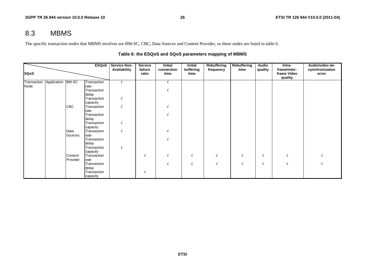## 8.3 MBMS

The specific transaction nodes that MBMS involves are BM-SC, CBC, Data Sources and Content Provider, so these nodes are listed in table 6.

|             |                               |            | ESQoS               | <b>Service Non-</b> | <b>Service</b>   | Initial            | Initial           | Rebuffering | <b>Rebuffering</b> | Audio   | Intra-                                 | Audio/video de-          |
|-------------|-------------------------------|------------|---------------------|---------------------|------------------|--------------------|-------------------|-------------|--------------------|---------|----------------------------------------|--------------------------|
| <b>SQoS</b> |                               |            |                     | Availability        | failure<br>ratio | connection<br>time | buffering<br>time | frequency   | time               | quality | frame/inter-<br>frame Video<br>quality | synchronization<br>error |
|             | Transaction Application BM-SC |            | Transaction         |                     |                  |                    |                   |             |                    |         |                                        |                          |
| Node        |                               |            | rate                |                     |                  |                    |                   |             |                    |         |                                        |                          |
|             |                               |            | Transaction         |                     |                  |                    |                   |             |                    |         |                                        |                          |
|             |                               |            | delay               |                     |                  |                    |                   |             |                    |         |                                        |                          |
|             |                               |            | Transaction         |                     |                  |                    |                   |             |                    |         |                                        |                          |
|             |                               |            | capacity            |                     |                  |                    |                   |             |                    |         |                                        |                          |
|             |                               | <b>CBC</b> | Transaction<br>rate |                     |                  |                    |                   |             |                    |         |                                        |                          |
|             |                               |            | Transaction         |                     |                  |                    |                   |             |                    |         |                                        |                          |
|             |                               |            | delay               |                     |                  |                    |                   |             |                    |         |                                        |                          |
|             |                               |            | Transaction         |                     |                  |                    |                   |             |                    |         |                                        |                          |
|             |                               |            | capacity            |                     |                  |                    |                   |             |                    |         |                                        |                          |
|             |                               | Data       | Transaction         |                     |                  |                    |                   |             |                    |         |                                        |                          |
|             |                               | Sources    | rate                |                     |                  |                    |                   |             |                    |         |                                        |                          |
|             |                               |            | Transaction         |                     |                  |                    |                   |             |                    |         |                                        |                          |
|             |                               |            | delay               |                     |                  |                    |                   |             |                    |         |                                        |                          |
|             |                               |            | Transaction         |                     |                  |                    |                   |             |                    |         |                                        |                          |
|             |                               |            | capacity            |                     |                  |                    |                   |             |                    |         |                                        |                          |
|             |                               | Content    | Transaction         |                     | N                |                    | N                 | V           |                    | N       |                                        |                          |
|             |                               | Provider   | rate                |                     |                  |                    |                   |             |                    |         |                                        |                          |
|             |                               |            | Transaction         |                     |                  |                    | N                 | N           |                    | N       |                                        |                          |
|             |                               |            | delay               |                     |                  |                    |                   |             |                    |         |                                        |                          |
|             |                               |            | Transaction         |                     | N                |                    |                   |             |                    |         |                                        |                          |
|             |                               |            | capacity            |                     |                  |                    |                   |             |                    |         |                                        |                          |

#### **Table 6: the ESQoS and SQoS parameters mapping of MBMS**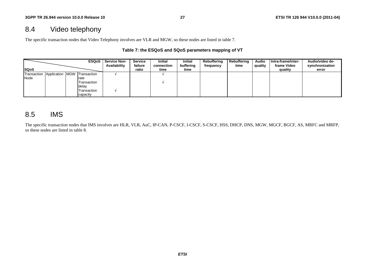## 8.4 Video telephony

The specific transaction nodes that Video Telephony involves are VLR and MGW, so these nodes are listed in table 7.

#### **Table 7: the ESQoS and SQoS parameters mapping of VT**

|                         |  | <b>ESQoS</b>    | <b>Service Non-</b><br>Availability | Service<br>failure | <b>Initial</b><br>connection | <b>Initial</b><br>buffering | Rebuffering<br>frequency | Rebuffering<br>time | <b>Audio</b><br>quality | Intra-frame/inter-<br>frame Video | Audio/video de-<br>synchronization |
|-------------------------|--|-----------------|-------------------------------------|--------------------|------------------------------|-----------------------------|--------------------------|---------------------|-------------------------|-----------------------------------|------------------------------------|
| <b>ISQoS</b>            |  |                 |                                     | ratio              | time                         | time                        |                          |                     |                         | quality                           | error                              |
| Transaction Application |  | MGW Transaction |                                     |                    |                              |                             |                          |                     |                         |                                   |                                    |
| Node                    |  | rate            |                                     |                    |                              |                             |                          |                     |                         |                                   |                                    |
|                         |  | Transaction     |                                     |                    |                              |                             |                          |                     |                         |                                   |                                    |
|                         |  | delay           |                                     |                    |                              |                             |                          |                     |                         |                                   |                                    |
|                         |  | Transaction     |                                     |                    |                              |                             |                          |                     |                         |                                   |                                    |
|                         |  | capacity        |                                     |                    |                              |                             |                          |                     |                         |                                   |                                    |

## 8.5 IMS

The specific transaction nodes that IMS involves are HLR, VLR, AuC, IP-CAN, P-CSCF, I-CSCF, S-CSCF, HSS, DHCP, DNS, MGW, MGCF, BGCF, AS, MRFC and MRFP, so these nodes are listed in table 8.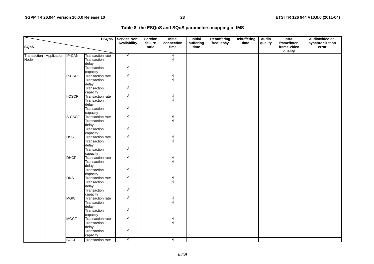| Table 8: the ESQoS and SQoS parameters mapping of IMS |  |
|-------------------------------------------------------|--|
|-------------------------------------------------------|--|

|             |                    |             | <b>ESQoS</b>            | <b>Service Non-</b> | <b>Service</b>   | <b>Initial</b>     | <b>Initial</b>    | Rebuffering | <b>Rebuffering</b> | <b>Audio</b> | Intra-                                 | Audio/video de-          |
|-------------|--------------------|-------------|-------------------------|---------------------|------------------|--------------------|-------------------|-------------|--------------------|--------------|----------------------------------------|--------------------------|
| <b>SQoS</b> |                    |             |                         | Availability        | failure<br>ratio | connection<br>time | buffering<br>time | frequency   | time               | quality      | frame/inter-<br>frame Video<br>quality | synchronization<br>error |
| Transaction | Application IP-CAN |             | <b>Transaction rate</b> | $\sqrt{}$           |                  | $\sqrt{ }$         |                   |             |                    |              |                                        |                          |
| Node        |                    |             | Transaction             |                     |                  | $\sqrt{ }$         |                   |             |                    |              |                                        |                          |
|             |                    |             | delay                   |                     |                  |                    |                   |             |                    |              |                                        |                          |
|             |                    |             | Transaction             | N                   |                  |                    |                   |             |                    |              |                                        |                          |
|             |                    |             | capacity                |                     |                  |                    |                   |             |                    |              |                                        |                          |
|             |                    | P-CSCF      | Transaction rate        | N                   |                  |                    |                   |             |                    |              |                                        |                          |
|             |                    |             | Transaction             |                     |                  |                    |                   |             |                    |              |                                        |                          |
|             |                    |             | delay<br>Transaction    |                     |                  |                    |                   |             |                    |              |                                        |                          |
|             |                    |             | capacity                |                     |                  |                    |                   |             |                    |              |                                        |                          |
|             |                    | I-CSCF      | Transaction rate        | $\sqrt{ }$          |                  |                    |                   |             |                    |              |                                        |                          |
|             |                    |             | Transaction             |                     |                  |                    |                   |             |                    |              |                                        |                          |
|             |                    |             | delay                   |                     |                  |                    |                   |             |                    |              |                                        |                          |
|             |                    |             | Transaction             |                     |                  |                    |                   |             |                    |              |                                        |                          |
|             |                    |             | capacity                |                     |                  |                    |                   |             |                    |              |                                        |                          |
|             |                    | S-CSCF      | Transaction rate        | V                   |                  |                    |                   |             |                    |              |                                        |                          |
|             |                    |             | Transaction             |                     |                  |                    |                   |             |                    |              |                                        |                          |
|             |                    |             | delay                   |                     |                  |                    |                   |             |                    |              |                                        |                          |
|             |                    |             | Transaction             |                     |                  |                    |                   |             |                    |              |                                        |                          |
|             |                    |             | capacity                |                     |                  |                    |                   |             |                    |              |                                        |                          |
|             |                    | <b>HSS</b>  | Transaction rate        | $\sqrt{ }$          |                  |                    |                   |             |                    |              |                                        |                          |
|             |                    |             | Transaction<br>delay    |                     |                  |                    |                   |             |                    |              |                                        |                          |
|             |                    |             | Transaction             | N                   |                  |                    |                   |             |                    |              |                                        |                          |
|             |                    |             | capacity                |                     |                  |                    |                   |             |                    |              |                                        |                          |
|             |                    | <b>DHCP</b> | Transaction rate        | $\sqrt{ }$          |                  |                    |                   |             |                    |              |                                        |                          |
|             |                    |             | Transaction             |                     |                  |                    |                   |             |                    |              |                                        |                          |
|             |                    |             | delay                   |                     |                  |                    |                   |             |                    |              |                                        |                          |
|             |                    |             | Transaction             |                     |                  |                    |                   |             |                    |              |                                        |                          |
|             |                    |             | capacity                |                     |                  |                    |                   |             |                    |              |                                        |                          |
|             |                    | <b>DNS</b>  | Transaction rate        | N                   |                  |                    |                   |             |                    |              |                                        |                          |
|             |                    |             | Transaction             |                     |                  |                    |                   |             |                    |              |                                        |                          |
|             |                    |             | delay                   |                     |                  |                    |                   |             |                    |              |                                        |                          |
|             |                    |             | Transaction             | $\sqrt{ }$          |                  |                    |                   |             |                    |              |                                        |                          |
|             |                    |             | capacity                | $\sqrt{}$           |                  |                    |                   |             |                    |              |                                        |                          |
|             |                    | <b>MGW</b>  | Transaction rate        |                     |                  |                    |                   |             |                    |              |                                        |                          |
|             |                    |             | Transaction<br>delay    |                     |                  |                    |                   |             |                    |              |                                        |                          |
|             |                    |             | Transaction             |                     |                  |                    |                   |             |                    |              |                                        |                          |
|             |                    |             | capacity                |                     |                  |                    |                   |             |                    |              |                                        |                          |
|             |                    | <b>MGCF</b> | Transaction rate        | $\sqrt{ }$          |                  |                    |                   |             |                    |              |                                        |                          |
|             |                    |             | Transaction             |                     |                  |                    |                   |             |                    |              |                                        |                          |
|             |                    |             | delay                   |                     |                  |                    |                   |             |                    |              |                                        |                          |
|             |                    |             | Transaction             | $\sqrt{ }$          |                  |                    |                   |             |                    |              |                                        |                          |
|             |                    |             | capacity                |                     |                  |                    |                   |             |                    |              |                                        |                          |
|             |                    | <b>BGCF</b> | Transaction rate        | $\sqrt{}$           |                  | $\sqrt{ }$         |                   |             |                    |              |                                        |                          |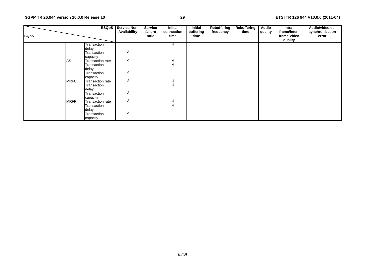| <b>SQoS</b> |             | <b>ESQoS</b>            | <b>Service Non-</b><br>Availability | <b>Service</b><br>failure<br>ratio | <b>Initial</b><br>connection<br>time | Initial<br>buffering<br>time | Rebuffering<br>frequency | Rebuffering<br>time | <b>Audio</b><br>quality | Intra-<br>frame/inter-<br>frame Video<br>quality | Audio/video de-<br>synchronization<br>error |
|-------------|-------------|-------------------------|-------------------------------------|------------------------------------|--------------------------------------|------------------------------|--------------------------|---------------------|-------------------------|--------------------------------------------------|---------------------------------------------|
|             |             | Transaction             |                                     |                                    |                                      |                              |                          |                     |                         |                                                  |                                             |
|             |             | delay                   |                                     |                                    |                                      |                              |                          |                     |                         |                                                  |                                             |
|             |             | Transaction<br>capacity | N                                   |                                    |                                      |                              |                          |                     |                         |                                                  |                                             |
|             | AS          | Transaction rate        | N                                   |                                    |                                      |                              |                          |                     |                         |                                                  |                                             |
|             |             | Transaction             |                                     |                                    |                                      |                              |                          |                     |                         |                                                  |                                             |
|             |             | delay                   |                                     |                                    |                                      |                              |                          |                     |                         |                                                  |                                             |
|             |             | Transaction             | N                                   |                                    |                                      |                              |                          |                     |                         |                                                  |                                             |
|             |             | capacity                |                                     |                                    |                                      |                              |                          |                     |                         |                                                  |                                             |
|             | <b>MRFC</b> | Transaction rate        | N                                   |                                    |                                      |                              |                          |                     |                         |                                                  |                                             |
|             |             | Transaction             |                                     |                                    |                                      |                              |                          |                     |                         |                                                  |                                             |
|             |             | delay                   |                                     |                                    |                                      |                              |                          |                     |                         |                                                  |                                             |
|             |             | Transaction             | N                                   |                                    |                                      |                              |                          |                     |                         |                                                  |                                             |
|             |             | capacity                |                                     |                                    |                                      |                              |                          |                     |                         |                                                  |                                             |
|             | <b>MRFP</b> | Transaction rate        | N                                   |                                    |                                      |                              |                          |                     |                         |                                                  |                                             |
|             |             | Transaction             |                                     |                                    |                                      |                              |                          |                     |                         |                                                  |                                             |
|             |             | delay                   |                                     |                                    |                                      |                              |                          |                     |                         |                                                  |                                             |
|             |             | Transaction             | N                                   |                                    |                                      |                              |                          |                     |                         |                                                  |                                             |
|             |             | capacity                |                                     |                                    |                                      |                              |                          |                     |                         |                                                  |                                             |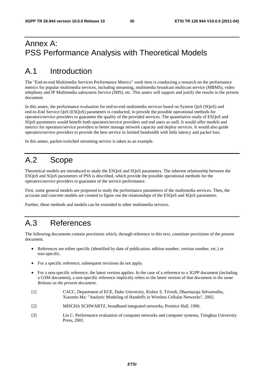## Annex A: PSS Performance Analysis with Theoretical Models

## A.1 Introduction

The "End-to-end Multimedia Services Performance Metrics" work item is conducting a research on the performance metrics for popular multimedia services, including streaming, multimedia broadcast multicast service (MBMS), video telephony and IP Multimedia subsystem Service (IMS), etc. This annex will support and justify the results in the present document.

In this annex, the performance evaluation for end-to-end multimedia services based on System QoS (SQoS) and end-to-End Service QoS (ESQoS) parameters is conducted, to provide the possible operational methods for operators/service providers to guarantee the quality of the provided services. The quantitative study of ESQoS and SQoS parameters would benefit both operators/service providers and end users as well. It would offer models and metrics for operators/service providers to better manage network capacity and deploy services. It would also guide operators/service providers to provide the best service in limited bandwidth with little latency and packet loss.

In this annex, packet-switched streaming service is taken as an example.

## A.2 Scope

Theoretical models are introduced to study the ESQoS and SQoS parameters. The inherent relationship between the ESQoS and SQoS parameters of PSS is described, which provide the possible operational methods for the operators/service providers to guarantee of the service performance.

First, some general models are proposed to study the performance parameters of the multimedia services. Then, the accurate and concrete models are created to figure out the relationships of the ESQoS and SQoS parameters.

Further, these methods and models can be extended to other multimedia services.

## A.3 References

The following documents contain provisions which, through reference in this text, constitute provisions of the present document.

- References are either specific (identified by date of publication, edition number, version number, etc.) or non-specific.
- For a specific reference, subsequent revisions do not apply.
- For a non-specific reference, the latest version applies. In the case of a reference to a 3GPP document (including a GSM document), a non-specific reference implicitly refers to the latest version of that document *in the same Release as the present document*.
- [1] CACC, Department of ECE, Duke University, Kishor S. Trivedi, Dharmaraja Selvamuthu, Xiaomin Ma: "Analytic Modeling of Handoffs in Wireless Cellular Networks", 2002.
- [2] MISCHA SCHWARTZ, broadband integrated networks, Prentice Hall, 1996.
- [3] Lin C. Performance evaluation of computer networks and computer systems, Tsinghua University Press, 2001.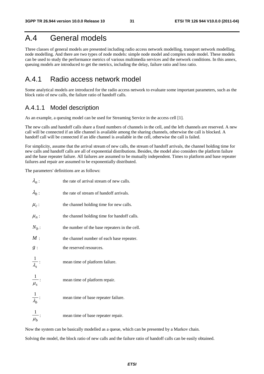## A.4 General models

Three classes of general models are presented including radio access network modelling, transport network modelling, node modelling. And there are two types of node models: simple node model and complex node model. These models can be used to study the performance metrics of various multimedia services and the network conditions. In this annex, queuing models are introduced to get the metrics, including the delay, failure ratio and loss ratio.

### A.4.1 Radio access network model

Some analytical models are introduced for the radio access network to evaluate some important parameters, such as the block ratio of new calls, the failure ratio of handoff calls.

#### A.4.1.1 Model description

As an example, a queuing model can be used for Streaming Service in the access cell [1].

The new calls and handoff calls share a fixed numbers of channels in the cell, and the left channels are reserved. A new call will be connected if an idle channel is available among the sharing channels, otherwise the call is blocked. A handoff call will be connected if an idle channel is available in the cell, otherwise the call is failed.

For simplicity, assume that the arrival stream of new calls, the stream of handoff arrivals, the channel holding time for new calls and handoff calls are all of exponential distributions. Besides, the model also considers the platform failure and the base repeater failure. All failures are assumed to be mutually independent. Times to platform and base repeater failures and repair are assumed to be exponentially distributed.

The parameters' definitions are as follows:

| $\lambda_n$ :           | the rate of arrival stream of new calls.      |
|-------------------------|-----------------------------------------------|
| $\lambda_h$ :           | the rate of stream of handoff arrivals.       |
| $\mu_c$ :               | the channel holding time for new calls.       |
| $\mu_n$ :               | the channel holding time for handoff calls.   |
| $N_b$ :                 | the number of the base repeaters in the cell. |
| M:                      | the channel number of each base repeater.     |
| g:                      | the reserved resources.                       |
| $\frac{1}{\lambda_s}$ : | mean time of platform failure.                |
| $\frac{1}{\mu_s}$ :     | mean time of platform repair.                 |
| $\frac{1}{\lambda_b}$ : | mean time of base repeater failure.           |
| $\overline{\mu_{h}}$    | mean time of base repeater repair.            |

Now the system can be basically modelled as a queue, which can be presented by a Markov chain.

Solving the model, the block ratio of new calls and the failure ratio of handoff calls can be easily obtained.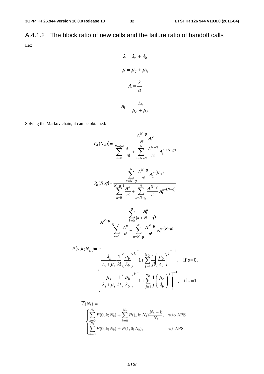A.4.1.2 The block ratio of new calls and the failure ratio of handoff calls Let:

$$
\lambda = \lambda_n + \lambda_h
$$

$$
\mu = \mu_c + \mu_h
$$

$$
A = \frac{\lambda}{\mu}
$$

$$
A_1 = \frac{\lambda_h}{\mu_c + \mu_h}
$$

Solving the Markov chain, it can be obtained:

$$
P_d(N,g) = \frac{A^{N-g}}{N-g-1} \frac{A^n}{n!} + \sum_{n=N-g}^{N} \frac{A^{N-g}}{n!} A_1^{n-(N-g)}
$$
  
\n
$$
P_b(N,g) = \frac{\sum_{n=N-g}^{N} A^{N-g}}{N-g-1} \frac{A^n}{n!} + \sum_{n=N-g}^{N} A_1^{n-(N-g)}
$$
  
\n
$$
P_b(N,g) = \frac{\sum_{n=N-g}^{N} A^{N-g}}{n!} A_1^{n-(N-g)}
$$
  
\n
$$
= A^{N-g} \frac{\sum_{k=0}^{g} A_1^k}{(k+N-g)!}
$$
  
\n
$$
= A^{N-g} \frac{\sum_{k=0}^{g} A_1^k}{n!} + \sum_{n=N-g}^{N} \frac{A^{N-g}}{n!} A_1^{n-(N-g)}
$$
  
\n
$$
k; N_b = \begin{bmatrix} \lambda_{s} & 1 \end{bmatrix} \mu_b \begin{bmatrix} \mu_b \end{bmatrix}^k \begin{bmatrix} \frac{N_b}{N} & 1 \end{bmatrix} \mu_b \end{bmatrix}^{-1}
$$

$$
P(s,k;N_b) = \n\begin{bmatrix}\n\frac{\lambda_s}{\lambda_s + \mu_s} \frac{1}{k!} \left( \frac{\mu_b}{\lambda_b} \right)^k \left[ 1 + \sum_{j=1}^{N_b} \frac{1}{j!} \left( \frac{\mu_b}{\lambda_b} \right)^j \right]^{-1}, & \text{if } s = 0, \\
\frac{\mu_s}{\lambda_s + \mu_s} \frac{1}{k!} \left( \frac{\mu_b}{\lambda_b} \right)^k \left[ 1 + \sum_{j=1}^{N_b} \frac{1}{j!} \left( \frac{\mu_b}{\lambda_b} \right)^j \right]^{-1}, & \text{if } s = 1.\n\end{bmatrix}
$$

$$
\bar{A}(N_b) = \begin{cases}\n\sum_{k=0}^{N_b} P(0, k; N_b) + \sum_{k=0}^{N_b} P(1, k; N_b) \frac{N_b - k}{N_b}, & \text{w/o APS} \\
\sum_{k=0}^{N_b} P(0, k; N_b) + P(1, 0; N_b), & \text{w/ APS.} \n\end{cases}
$$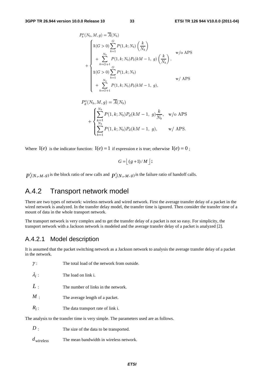$$
P_b^o(N_b, M, g) = \overline{A}(N_b)
$$
  
\n
$$
1(G > 0) \sum_{k=1}^G P(1, k; N_b) \left(\frac{k}{N_b}\right)
$$
  
\n
$$
+ \sum_{k=G+1}^{N_b} P(1, k; N_b) P_b(kM - 1, g) \left(\frac{k}{N_b}\right),
$$
  
\n
$$
1(G > 0) \sum_{k=1}^G P(1, k; N_b)
$$
  
\n
$$
+ \sum_{k=G+1}^{N_b} P(1, k; N_b) P_b(kM - 1, g),
$$
  
\n
$$
w / APS
$$

$$
P_d^o(N_b, M, g) = \overline{A}(N_b)
$$
  
+ 
$$
\begin{cases} \sum_{k=1}^{N_b} P(1, k; N_b) P_d(kM - 1, g) \frac{k}{N_b}, & \text{w/o APS} \\ \sum_{k=1}^{N_b} P(1, k; N_b) P_d(kM - 1, g), & \text{w/ APS.} \end{cases}
$$

Where  $I(e)$  is the indicator function:  $I(e) = 1$  if expression e is true; otherwise  $I(e) = 0$ ;

$$
G = \lfloor (g+1)/M \rfloor;
$$

0  $P_b^0(N_b, M, g)$  is the block ratio of new calls and  $P_a^0(N_b, M, g)$  is the failure ratio of handoff calls.

## A.4.2 Transport network model

There are two types of network: wireless network and wired network. First the average transfer delay of a packet in the wired network is analyzed. In the transfer delay model, the transfer time is ignored. Then consider the transfer time of a mount of data in the whole transport network.

The transport network is very complex and to get the transfer delay of a packet is not so easy. For simplicity, the transport network with a Jackson network is modeled and the average transfer delay of a packet is analyzed [2].

## A.4.2.1 Model description

It is assumed that the packet switching network as a Jackson network to analysis the average transfer delay of a packet in the network.

| ,,                                                                                    | THE total foad of the hetwork from outside. |  |  |  |  |  |  |
|---------------------------------------------------------------------------------------|---------------------------------------------|--|--|--|--|--|--|
| $\lambda_i$ :                                                                         | The load on link i.                         |  |  |  |  |  |  |
| L:                                                                                    | The number of links in the network.         |  |  |  |  |  |  |
| $M$ .                                                                                 | The average length of a packet.             |  |  |  |  |  |  |
| $R_i$ :                                                                               | The data transport rate of link i.          |  |  |  |  |  |  |
| The analysis to the transfer time is very simple. The parameters used are as follows. |                                             |  |  |  |  |  |  |

*D* : The size of the data to be transported.

*dwireless* The mean bandwidth in wireless network.

γ : The total load of the network from outside.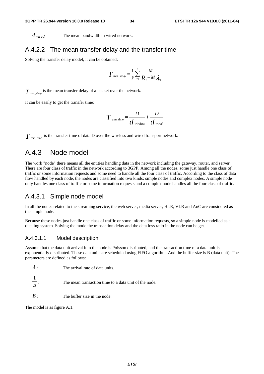*dwired* The mean bandwidth in wired network.

#### A.4.2.2 The mean transfer delay and the transfer time

Solving the transfer delay model, it can be obtained:

$$
T_{\text{tran\_delay}} = \frac{1}{\gamma} \sum_{i=1}^{L} \frac{M}{R_i - M \lambda_i}
$$

 $T_{\textit{tran\_delay}}$  is the mean transfer delay of a packet over the network.

It can be easily to get the transfer time:

$$
T_{\text{tran\_time}} = \frac{D}{d_{\text{wireless}}} + \frac{D}{d_{\text{wired}}}
$$

 $T_{\text{tran time}}$  is the transfer time of data D over the wireless and wired transport network.

### A.4.3 Node model

The work "node" there means all the entities handling data in the network including the gateway, router, and server. There are four class of traffic in the network according to 3GPP. Among all the nodes, some just handle one class of traffic or some information requests and some need to handle all the four class of traffic. According to the class of data flow handled by each node, the nodes are classified into two kinds: simple nodes and complex nodes. A simple node only handles one class of traffic or some information requests and a complex node handles all the four class of traffic.

#### A.4.3.1 Simple node model

In all the nodes related to the streaming service, the web server, media server, HLR, VLR and AuC are considered as the simple node.

Because these nodes just handle one class of traffic or some information requests, so a simple node is modelled as a queuing system. Solving the mode the transaction delay and the data loss ratio in the node can be get.

#### A.4.3.1.1 Model description

Assume that the data unit arrival into the node is Poisson distributed, and the transaction time of a data unit is exponentially distributed. These data units are scheduled using FIFO algorithm. And the buffer size is B (data unit). The parameters are defined as follows:

| $\lambda$ . | The arrival rate of data units. |
|-------------|---------------------------------|
|             |                                 |

μ 1 The mean transaction time to a data unit of the node.

*B* : The buffer size in the node.

The model is as figure A.1.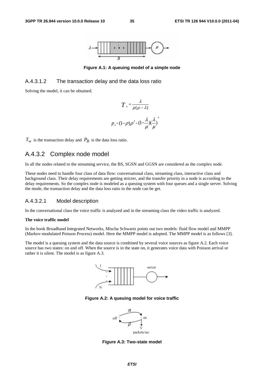

**Figure A.1: A queuing model of a simple node** 

#### A.4.3.1.2 The transaction delay and the data loss ratio

Solving the model, it can be obtained.

$$
T_{w} = \frac{\lambda}{\mu(\mu - \lambda)}
$$

$$
p_{B} = (1 - \rho)\rho^{B} = (1 - \frac{\lambda}{\mu})(\frac{\lambda}{\mu})^{B}
$$

 $T_w$  is the transaction delay and  $P_B$  is the data loss ratio.

### A.4.3.2 Complex node model

In all the nodes related to the streaming service, the BS, SGSN and GGSN are considered as the complex node.

These nodes need to handle four class of data flow: conversational class, streaming class, interactive class and background class. Their delay requirements are getting stricter, and the transfer priority in a node is according to the delay requirements. So the complex node is modeled as a queuing system with four queues and a single server. Solving the mode, the transaction delay and the data loss ratio in the node can be get.

#### A.4.3.2.1 Model description

In the conversational class the voice traffic is analyzed and in the streaming class the video traffic is analyzed.

#### **The voice traffic model**

In the book Broadband Integrated Networks, Mischa Schwartz points out two models: fluid flow model and MMPP (Markov-modulated Poisson Process) model. Here the MMPP model is adopted. The MMPP model is as follows [3].

The model is a queuing system and the data source is combined by several voice sources as figure A.2. Each voice source has two states: on and off. When the source is in the state on, it generates voice data with Poisson arrival or rather it is silent. The model is as figure A.3.



**Figure A.2: A queuing model for voice traffic** 



**Figure A.3: Two-state model**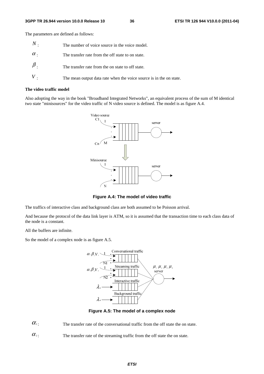The parameters are defined as follows:

| $\,N$ .    | The number of voice source in the voice model.                      |
|------------|---------------------------------------------------------------------|
| $\alpha$ . | The transfer rate from the off state to on state.                   |
| $\beta$ .  | The transfer rate from the on state to off state.                   |
|            | The mean output data rate when the voice source is in the on state. |

#### **The video traffic model**

Also adopting the way in the book "Broadband Integrated Networks", an equivalent process of the sum of M identical two state "minisources" for the video traffic of N video source is defined. The model is as figure A.4.



**Figure A.4: The model of video traffic** 

The traffics of interactive class and background class are both assumed to be Poisson arrival.

And because the protocol of the data link layer is ATM, so it is assumed that the transaction time to each class data of the node is a constant.

All the buffers are infinite.

So the model of a complex node is as figure A.5.



**Figure A.5: The model of a complex node** 

 $\alpha_1$ : The transfer rate of the conversational traffic from the off state the on state.

 $\alpha$ <sup>2</sup>: The transfer rate of the streaming traffic from the off state the on state.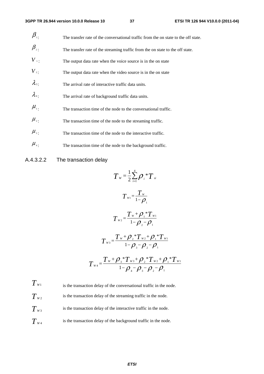| $\beta_{\scriptscriptstyle{\overline{1}}}$ . | The transfer rate of the conversational traffic from the on state to the off state. |
|----------------------------------------------|-------------------------------------------------------------------------------------|
| $\beta_{\scriptscriptstyle 2}$               | The transfer rate of the streaming traffic from the on state to the off state.      |
| $V_{\perp}$                                  | The output data rate when the voice source is in the on state                       |
| $V_{2}$ .                                    | The output data rate when the video source is in the on state                       |
| $\lambda_{3}$                                | The arrival rate of interactive traffic data units.                                 |
| $\lambda_{4}$                                | The arrival rate of background traffic data units.                                  |
| $\mu_{\scriptscriptstyle 1}$ .               | The transaction time of the node to the conversational traffic.                     |
| $\mu_{\scriptscriptstyle 2}$ .               | The transaction time of the node to the streaming traffic.                          |
| $\mu_{\scriptscriptstyle 3}$ .               | The transaction time of the node to the interactive traffic.                        |
| $\mu_{\scriptscriptstyle 4}$ .               | The transaction time of the node to the background traffic.                         |

### A.4.3.2.2 The transaction delay

$$
T_{w} = \frac{1}{2} \sum_{i=1}^{4} \rho_{i} {}^{*}T_{si}
$$
\n
$$
T_{w1} = \frac{T_{w}}{1 - \rho_{1}}
$$
\n
$$
T_{w2} = \frac{T_{w} + \rho_{1} {}^{*}T_{w1}}{1 - \rho_{2} - \rho_{1}}
$$
\n
$$
T_{w3} = \frac{T_{w} + \rho_{2} {}^{*}T_{w2} + \rho_{1} {}^{*}T_{w1}}{1 - \rho_{3} - \rho_{2} - \rho_{1}}
$$
\n
$$
T_{w4} = \frac{T_{w} + \rho_{3} {}^{*}T_{w3} + \rho_{2} {}^{*}T_{w2} + \rho_{1} {}^{*}T_{w1}}{1 - \rho_{4} - \rho_{3} - \rho_{2} - \rho_{1}}
$$

 $T_{W1}$  is the transaction delay of the conversational traffic in the node.  $T_{W2}$  is the transaction delay of the streaming traffic in the node.  $T_{w3}$  is the transaction delay of the interactive traffic in the node.  $T_{w_4}$  is the transaction delay of the background traffic in the node.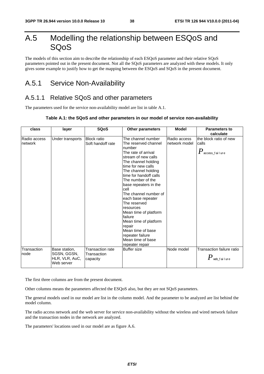## A.5 Modelling the relationship between ESQoS and SQoS

The models of this section aim to describe the relationship of each ESQoS parameter and their relative SQoS parameters pointed out in the present document. Not all the SQoS parameters are analyzed with these models. It only gives some example to justify how to get the mapping between the ESQoS and SQoS in the present document.

## A.5.1 Service Non-Availability

### A.5.1.1 Relative SQoS and other parameters

The parameters used for the service non-availability model are list in table A.1.

#### **Table A.1: the SQoS and other parameters in our model of service non-availability**

| class                   | layer                                                        | <b>SQoS</b>                                 | <b>Other parameters</b>                                                                                                                                                                                                                                                                                                                                                                                                                                                                    | <b>Model</b>                  | Parameters to<br>calculate                                      |
|-------------------------|--------------------------------------------------------------|---------------------------------------------|--------------------------------------------------------------------------------------------------------------------------------------------------------------------------------------------------------------------------------------------------------------------------------------------------------------------------------------------------------------------------------------------------------------------------------------------------------------------------------------------|-------------------------------|-----------------------------------------------------------------|
| Radio access<br>network | Under transports                                             | <b>Block ratio</b><br>Soft handoff rate     | The channel number<br>The reserved channel<br>number<br>The rate of arrival<br>stream of new calls<br>The channel holding<br>time for new calls<br>The channel holding<br>time for handoff calls<br>The number of the<br>base repeaters in the<br>cell<br>The channel number of<br>each base repeater<br>The reserved<br>resources<br>Mean time of platform<br>failure<br>Mean time of platform<br>repair<br>Mean time of base<br>repeater failure<br>Mean time of base<br>repeater repair | Radio access<br>network model | the block ratio of new<br>calls<br>$P_{\,\rm access\_fail}$ ure |
| Transaction<br>node     | Base station,<br>SGSN, GGSN,<br>HLR, VLR, AuC,<br>Web server | Transaction rate<br>Transaction<br>capacity | <b>Buffer size</b>                                                                                                                                                                                                                                                                                                                                                                                                                                                                         | Node model                    | Transaction failure ratio<br>$\pmb{P}$ web_failure              |

The first three columns are from the present document.

Other columns means the parameters affected the ESQoS also, but they are not SQoS parameters.

The general models used in our model are list in the column model. And the parameter to be analyzed are list behind the model column.

The radio access network and the web server for service non-availability without the wireless and wired network failure and the transaction nodes in the network are analyzed.

The parameters' locations used in our model are as figure A.6.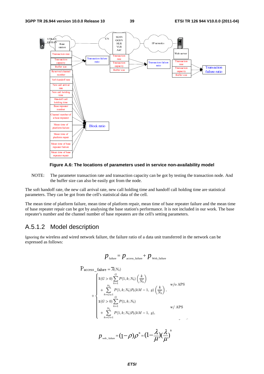



NOTE: The parameter transaction rate and transaction capacity can be got by testing the transaction node. And the buffer size can also be easily got from the node.

The soft handoff rate, the new call arrival rate, new call holding time and handoff call holding time are statistical parameters. They can be got from the cell's statistical data of the cell.

The mean time of platform failure, mean time of platform repair, mean time of base repeater failure and the mean time of base repeater repair can be got by analysing the base station's performance. It is not included in our work. The base repeater's number and the channel number of base repeaters are the cell's setting parameters.

### A.5.1.2 Model description

Ignoring the wireless and wired network failure, the failure ratio of a data unit transferred in the network can be expressed as follows:

$$
p_{\text{failure}} = p_{\text{access\_failure}} + p_{\text{web\_failure}}
$$

$$
P_{access\_failure} = \overline{A}(N_b)
$$
\n
$$
+ \begin{cases}\n1(G > 0) \sum_{k=1}^{G} P(1, k; N_b) \left(\frac{k}{N_b}\right) & \text{w/o APS} \\
+ \sum_{k=G+1}^{N_b} P(1, k; N_b) P_b(kM - 1, g) \left(\frac{k}{N_b}\right), & \text{w/o APS} \\
1(G > 0) \sum_{k=1}^{G} P(1, k; N_b) & \text{w/APS} \\
+ \sum_{k=G+1}^{N_b} P(1, k; N_b) P_b(kM - 1, g), & \text{w/APS}\n\end{cases}
$$

$$
p_{\text{web\_failure}} = (1 - \rho)\rho^B = (1 - \frac{\lambda}{\mu})(\frac{\lambda}{\mu})^B
$$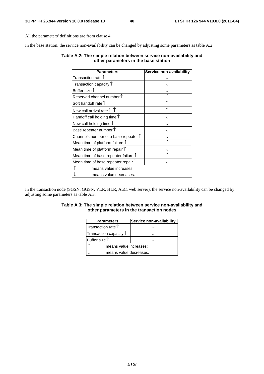All the parameters' definitions are from clause 4.

In the base station, the service non-availability can be changed by adjusting some parameters as table A.2.

#### **Table A.2: The simple relation between service non-availability and other parameters in the base station**

| Parameters                                    | Service non-availability |
|-----------------------------------------------|--------------------------|
| Transaction rate $\uparrow$                   |                          |
| Transaction capacity $\uparrow$               |                          |
| Buffer size $\uparrow$                        |                          |
| Reserved channel number $\uparrow$            |                          |
| Soft handoff rate $\uparrow$                  |                          |
| New call arrival rate $\uparrow \uparrow$     |                          |
| Handoff call holding time $\uparrow$          |                          |
| New call holding time $\uparrow$              |                          |
| Base repeater number $\uparrow$               |                          |
| Channels number of a base repeater $\uparrow$ |                          |
| Mean time of platform failure $\uparrow$      |                          |
| Mean time of platform repair $\uparrow$       |                          |
| Mean time of base repeater failure $\uparrow$ |                          |
| Mean time of base repeater repair $\uparrow$  |                          |
| means value increases;                        |                          |
| means value decreases.                        |                          |

In the transaction node (SGSN, GGSN, VLR, HLR, AuC, web server), the service non-availability can be changed by adjusting some parameters as table A.3.

#### **Table A.3: The simple relation between service non-availability and other parameters in the transaction nodes**

| <b>Parameters</b>               | Service non-availability |  |
|---------------------------------|--------------------------|--|
| Transaction rate $\uparrow$     |                          |  |
| Transaction capacity $\uparrow$ |                          |  |
| Buffer size $\uparrow$          |                          |  |
| means value increases;          |                          |  |
| means value decreases.          |                          |  |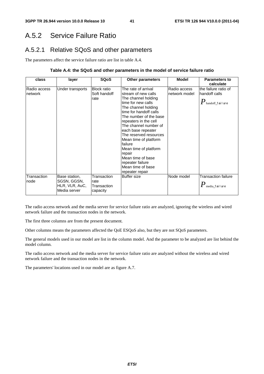## A.5.2 Service Failure Ratio

### A.5.2.1 Relative SQoS and other parameters

The parameters affect the service failure ratio are list in table A.4.

#### **Table A.4: the SQoS and other parameters in the model of service failure ratio**

| class                   | layer                                                          | <b>SQoS</b>                                    | <b>Other parameters</b>                                                                                                                                                                                                                                                                                                                                                                                                      | <b>Model</b>                  | <b>Parameters to</b><br>calculate                                           |
|-------------------------|----------------------------------------------------------------|------------------------------------------------|------------------------------------------------------------------------------------------------------------------------------------------------------------------------------------------------------------------------------------------------------------------------------------------------------------------------------------------------------------------------------------------------------------------------------|-------------------------------|-----------------------------------------------------------------------------|
| Radio access<br>network | Under transports                                               | <b>Block ratio</b><br>Soft handoff<br>rate     | The rate of arrival<br>stream of new calls<br>The channel holding<br>time for new calls<br>The channel holding<br>time for handoff calls<br>The number of the base<br>repeaters in the cell<br>The channel number of<br>each base repeater<br>The reserved resources<br>Mean time of platform<br>failure<br>Mean time of platform<br>repair<br>Mean time of base<br>repeater failure<br>Mean time of base<br>repeater repair | Radio access<br>network model | the failure ratio of<br>handoff calls<br>$\pmb{P}_\text{handoff\_f}$ ailure |
| Transaction<br>node     | Base station,<br>SGSN, GGSN,<br>HLR, VLR, AuC,<br>Media server | Transaction<br>rate<br>Transaction<br>capacity | <b>Buffer size</b>                                                                                                                                                                                                                                                                                                                                                                                                           | Node model                    | <b>Transaction failure</b><br>$\pmb{P}_{\text{media\_f} \text{ai lure}}$    |

The radio access network and the media server for service failure ratio are analyzed, ignoring the wireless and wired network failure and the transaction nodes in the network.

The first three columns are from the present document.

Other columns means the parameters affected the QoE ESQoS also, but they are not SQoS parameters.

The general models used in our model are list in the column model. And the parameter to be analyzed are list behind the model column.

The radio access network and the media server for service failure ratio are analyzed without the wireless and wired network failure and the transaction nodes in the network.

The parameters' locations used in our model are as figure A.7.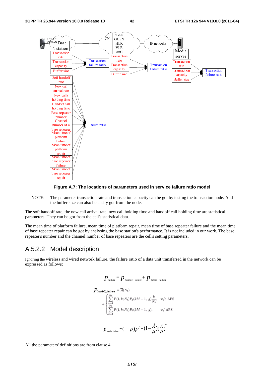

#### **Figure A.7: The locations of parameters used in service failure ratio model**

NOTE: The parameter transaction rate and transaction capacity can be got by testing the transaction node. And the buffer size can also be easily got from the node.

The soft handoff rate, the new call arrival rate, new call holding time and handoff call holding time are statistical parameters. They can be got from the cell's statistical data.

The mean time of platform failure, mean time of platform repair, mean time of base repeater failure and the mean time of base repeater repair can be got by analysing the base station's performance. It is not included in our work. The base repeater's number and the channel number of base repeaters are the cell's setting parameters.

#### A.5.2.2 Model description

Ignoring the wireless and wired network failure, the failure ratio of a data unit transferred in the network can be expressed as follows:

$$
p_{\text{failure}} = p_{\text{handoff\_failure}} + p_{\text{median\_failure}}
$$
\n
$$
P_{\text{handoff\_failure}} = \overline{A}(N_b)
$$
\n
$$
+ \begin{cases} \sum_{k=1}^{N_b} P(1, k; N_b) P_d(kM - 1, g) \frac{k}{N_b}, & \text{w/o APS.} \\ \sum_{k=1}^{N_b} P(1, k; N_b) P_d(kM - 1, g), & \text{w/APS.} \end{cases}
$$
\n
$$
p_{\text{median}} = (1 - \rho)\rho^B = (1 - \frac{\lambda}{\mu})(\frac{\lambda}{\mu})^B
$$

All the parameters' definitions are from clause 4.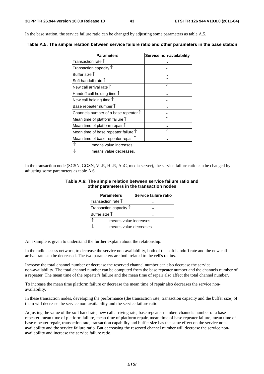In the base station, the service failure ratio can be changed by adjusting some parameters as table A.5.

| <b>Parameters</b>                             | Service non-availability |
|-----------------------------------------------|--------------------------|
| Transaction rate $\uparrow$                   |                          |
| Transaction capacity $\uparrow$               |                          |
| Buffer size $\uparrow$                        |                          |
| Soft handoff rate 1                           |                          |
| New call arrival rate $\uparrow$              |                          |
| Handoff call holding time $\uparrow$          |                          |
| New call holding time $\uparrow$              |                          |
| Base repeater number $\uparrow$               |                          |
| Channels number of a base repeater $\uparrow$ |                          |
| Mean time of platform failure $\uparrow$      |                          |
| Mean time of platform repair $\uparrow$       |                          |
| Mean time of base repeater failure $\uparrow$ |                          |
| Mean time of base repeater repair $\uparrow$  |                          |
| means value increases;                        |                          |
| means value decreases.                        |                          |

**Table A.5: The simple relation between service failure ratio and other parameters in the base station** 

In the transaction node (SGSN, GGSN, VLR, HLR, AuC, media server), the service failure ratio can be changed by adjusting some parameters as table A.6.

| Table A.6: The simple relation between service failure ratio and |  |
|------------------------------------------------------------------|--|
| other parameters in the transaction nodes                        |  |

| <b>Parameters</b>               | Service failure ratio |  |
|---------------------------------|-----------------------|--|
| Transaction rate $\uparrow$     |                       |  |
| Transaction capacity $\uparrow$ |                       |  |
| Buffer size $\uparrow$          |                       |  |
| means value increases;          |                       |  |
| means value decreases.          |                       |  |

An example is given to understand the further explain about the relationship.

In the radio access network, to decrease the service non-availability, both of the soft handoff rate and the new call arrival rate can be decreased. The two parameters are both related to the cell's radius.

Increase the total channel number or decrease the reserved channel number can also decrease the service non-availability. The total channel number can be computed from the base repeater number and the channels number of a repeater. The mean time of the repeater's failure and the mean time of repair also affect the total channel number.

To increase the mean time platform failure or decrease the mean time of repair also decreases the service nonavailability.

In these transaction nodes, developing the performance (the transaction rate, transaction capacity and the buffer size) of them will decrease the service non-availability and the service failure ratio.

Adjusting the value of the soft hand rate, new call arriving rate, base repeater number, channels number of a base repeater, mean time of platform failure, mean time of platform repair, mean time of base repeater failure, mean time of base repeater repair, transaction rate, transaction capability and buffer size has the same effect on the service nonavailability and the service failure ratio. But decreasing the reserved channel number will decrease the service nonavailability and increase the service failure ratio.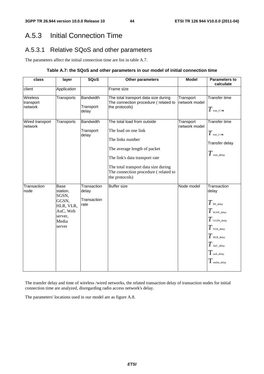## A.5.3 Initial Connection Time

## A.5.3.1 Relative SQoS and other parameters

The parameters affect the initial connection time are list in table A.7.

#### **Table A.7: the SQoS and other parameters in our model of initial connection time**

| class                            | layer                                                                                     | <b>SQoS</b>                                 | Other parameters                                                                                                                                                                                                                            | <b>Model</b>               | <b>Parameters to</b><br>calculate                                                                                                                                                               |
|----------------------------------|-------------------------------------------------------------------------------------------|---------------------------------------------|---------------------------------------------------------------------------------------------------------------------------------------------------------------------------------------------------------------------------------------------|----------------------------|-------------------------------------------------------------------------------------------------------------------------------------------------------------------------------------------------|
| client                           | Application                                                                               |                                             | Frame size                                                                                                                                                                                                                                  |                            |                                                                                                                                                                                                 |
| Wireless<br>transport<br>network | Transports                                                                                | <b>Bandwidth</b><br>Transport<br>delay      | The total transport data size during<br>The connection procedure (related to<br>the protocols)                                                                                                                                              | Transport<br>network model | Transfer time<br>$T$ tran_t i me                                                                                                                                                                |
| Wired transport<br>network       | Transports                                                                                | <b>Bandwidth</b><br>Transport<br>delay      | The total load from outside<br>The load on one link<br>The links number<br>The average length of packet<br>The link's data transport rate<br>The total transport data size during<br>The connection procedure (related to<br>the protocols) | Transport<br>network model | <b>Transfer time</b><br>$T$ tran_t i me<br>Transfer delay<br>$T$ tran_delay                                                                                                                     |
| Transaction<br>node              | Base<br>station,<br>SGSN,<br>GGSN,<br>HLR, VLR,<br>AuC, Web<br>server,<br>Media<br>server | Transaction<br>delay<br>Transaction<br>rate | <b>Buffer size</b>                                                                                                                                                                                                                          | Node model                 | Transaction<br>delay<br>$T$ BS_delay<br>$T$ sgsn_delay<br>$T$ GGSN_delay<br>$T$ vlr._delay<br>$T$ HLR_delay<br>$T$ AuC_delay<br>$T_{\scriptscriptstyle\rm web\_delay}$<br>$\pmb{T}$ media_delay |

The transfer delay and time of wireless /wired networks, the related transaction delay of transaction nodes for initial connection time are analyzed, disregarding radio access network's delay.

The parameters' locations used in our model are as figure A.8.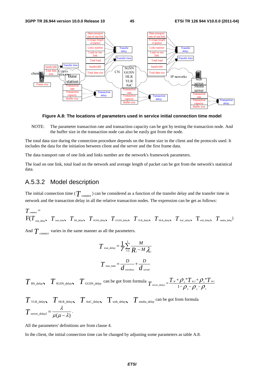

**Figure A.8: The locations of parameters used in service initial connection time model** 

NOTE: The parameter transaction rate and transaction capacity can be got by testing the transaction node. And the buffer size in the transaction node can also be easily got from the node.

The total data size during the connection procedure depends on the frame size in the client and the protocols used. It includes the data for the initiation between client and the server and the first frame data.

The data transport rate of one link and links number are the network's framework parameters.

The load on one link, total load on the network and average length of packet can be got from the network's statistical data.

#### A.5.3.2 Model description

The initial connection time ( $T$  <sub>connect</sub>) can be considered as a function of the transfer delay and the transfer time in network and the transaction delay in all the relative transaction nodes. The expression can be get as follows:

$$
T_{\text{connect}} = \nF(T_{\text{tran\_delay}}, T_{\text{tran\_time}}, T_{\text{BS\_delay}}, T_{\text{SGSN\_delay}}, T_{\text{GGSN\_delay}}, T_{\text{VLR\_delay}}, T_{\text{HL\_delay}}, T_{\text{Auc\_delay}}, T_{\text{web\_delay}}, T_{\text{median}})
$$

And  $T_{\text{connect}}$  varies in the same manner as all the parameters.

$$
T_{\text{tran\_delay}} = \frac{1}{\gamma} \sum_{i=1}^{L} \frac{M}{R_i - M \lambda_i}
$$

$$
T_{\text{tran\_time}} = \frac{D}{d_{\text{wireless}}} + \frac{D}{d_{\text{wire}}
$$

 $T$ <sub>BS\_delay  $T$ <sub>SGSN\_delay</sub>  $T$ <sub>GGSN\_delay</sub> can be got from formula  $T$ <sub>server\_delay1</sub> =  $\frac{T_w + \rho_z * T_{w_2} + \rho_1 * T_{w_1}}{1 - \rho_z - \rho_z - \rho_z}$ </sub> 3  $\mu_2$   $\mu_1$ \* $T_{w}$ + $Q$ .\*  $T_{\text{server\_delay1}} = \frac{T_w + \rho_{2} * T_{w2} + \rho_{1} * T_w}{1 - \rho_{3} - \rho_{2} - \rho_{1}}$ 

$$
T_{\text{VLR\_delay}} \sum_{\text{HLR\_delay}} T_{\text{Auc\_delay}} \sum_{\text{web\_delay}} T_{\text{median}} \sum_{\text{c} \text{mean}} \sum_{\text{c} \text{norm formula}} T_{\text{Sover\_delay}} = \frac{\lambda}{\mu(\mu - \lambda)}.
$$

All the parameters' definitions are from clause 4.

In the client, the initial connection time can be changed by adjusting some parameters as table A.8.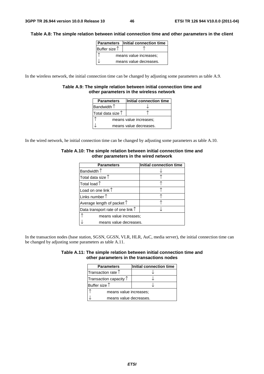#### **Table A.8: The simple relation between initial connection time and other parameters in the client**

|                        | <b>Parameters</b> Initial connection time |  |
|------------------------|-------------------------------------------|--|
| Buffer size $†$        |                                           |  |
| means value increases; |                                           |  |
| means value decreases. |                                           |  |

In the wireless network, the initial connection time can be changed by adjusting some parameters as table A.9.

#### **Table A.9: The simple relation between initial connection time and other parameters in the wireless network**

| <b>Parameters</b>          | Initial connection time |  |
|----------------------------|-------------------------|--|
| Bandwidth $\uparrow$       |                         |  |
| Total data size $\uparrow$ |                         |  |
| means value increases:     |                         |  |
| means value decreases.     |                         |  |

In the wired network, he initial connection time can be changed by adjusting some parameters as table A.10.

| <b>Parameters</b>                          | Initial connection time |
|--------------------------------------------|-------------------------|
| Bandwidth $\uparrow$                       |                         |
| Total data size $\uparrow$                 |                         |
| Total load $\uparrow$                      |                         |
| Load on one link $\uparrow$                |                         |
| Links number $\uparrow$                    |                         |
| Average length of packet $\uparrow$        |                         |
| Data transport rate of one link $\uparrow$ |                         |
| means value increases:                     |                         |
| means value decreases.                     |                         |

#### **Table A.10: The simple relation between initial connection time and other parameters in the wired network**

In the transaction nodes (base station, SGSN, GGSN, VLR, HLR, AuC, media server), the initial connection time can be changed by adjusting some parameters as table A.11.

| Table A.11: The simple relation between initial connection time and |  |
|---------------------------------------------------------------------|--|
| other parameters in the transactions nodes                          |  |

| <b>Parameters</b>               | Initial connection time |  |
|---------------------------------|-------------------------|--|
| Transaction rate $\uparrow$     |                         |  |
| Transaction capacity $\uparrow$ |                         |  |
| Buffer size $\uparrow$          |                         |  |
| means value increases:          |                         |  |
| means value decreases.          |                         |  |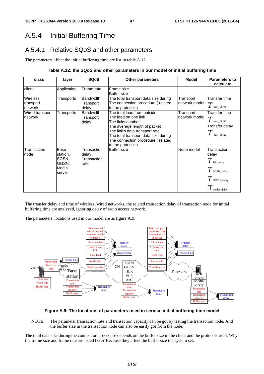## A.5.4 Initial Buffering Time

### A.5.4.1 Relative SQoS and other parameters

The parameters affect the initial buffering time are list in table A.12.

#### **Table A.12: the SQoS and other parameters in our model of initial buffering time**

| class                                   | layer                                                 | <b>SQoS</b>                                 | <b>Other parameters</b>                                                                                                                                                                                                                     | <b>Model</b>                | <b>Parameters to</b><br>calculate                                                         |
|-----------------------------------------|-------------------------------------------------------|---------------------------------------------|---------------------------------------------------------------------------------------------------------------------------------------------------------------------------------------------------------------------------------------------|-----------------------------|-------------------------------------------------------------------------------------------|
| client                                  | Application                                           | Frame rate                                  | Frame size<br><b>Buffer size</b>                                                                                                                                                                                                            |                             |                                                                                           |
| <b>Wireless</b><br>transport<br>network | Transports                                            | <b>Bandwidth</b><br>Transport<br>delay      | The total transport data size during<br>The connection procedure (related<br>to the protocols)                                                                                                                                              | Transport<br>Inetwork model | Transfer time<br>tran time                                                                |
| Wired transport<br>network              | Transports                                            | <b>Bandwidth</b><br>Transport<br>delay      | The total load from outside<br>The load on one link<br>The links number<br>The average length of packet<br>The link's data transport rate<br>The total transport data size during<br>The connection procedure (related<br>to the protocols) | Transport<br>network model  | Transfer time<br>$\overline{T}$<br>tran time<br>Transfer delay<br>tran_delay              |
| Transaction<br>node                     | Base<br>station,<br>SGSN,<br>GGSN,<br>Media<br>server | Transaction<br>delay<br>Transaction<br>rate | <b>Buffer size</b>                                                                                                                                                                                                                          | Node model                  | Transaction<br>delay<br>$T$ BS_delay<br>$T$ sGSN_delay<br>$T$ GGSN_delay<br>I media_delay |

The transfer delay and time of wireless /wired networks, the related transaction delay of transaction node for initial buffering time are analyzed, ignoring delay of radio access network.

The parameters' locations used in our model are as figure A.9.



#### **Figure A.9: The locations of parameters used in service initial buffering time model**

NOTE: The parameter transaction rate and transaction capacity can be got by testing the transaction node. And the buffer size in the transaction node can also be easily got from the node.

The total data size during the connection procedure depends on the buffer size in the client and the protocols used. Why the frame size and frame rate are listed here? Because they affect the buffer size the system set.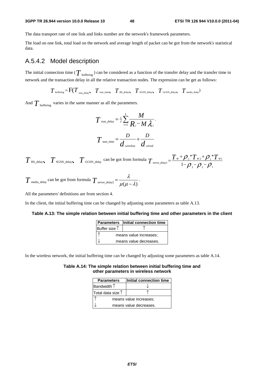#### **3GPP TR 26.944 version 10.0.0 Release 10 48 ETSI TR 126 944 V10.0.0 (2011-04)**

The data transport rate of one link and links number are the network's framework parameters.

The load on one link, total load on the network and average length of packet can be got from the network's statistical data.

### A.5.4.2 Model description

The initial connection time ( $T_{\text{buffering}}$ ) can be considered as a function of the transfer delay and the transfer time in network and the transaction delay in all the relative transaction nodes. The expression can be get as follows:

 $T_{\text{buffering}} = \text{F}(T_{\text{tran delay}} \mid T_{\text{tran time}} \mid T_{\text{BS delay}} \mid T_{\text{SGSN delay}} \mid T_{\text{GGSN delay}} \mid T_{\text{median}})$ 

And  $T_{\text{buffering}}$  varies in the same manner as all the parameters.

$$
T_{\text{tran\_delay}} = \frac{1}{\gamma} \sum_{i=1}^{L} \frac{M}{R_i - M \lambda_i}.
$$

$$
T_{\text{tran\_time}} = \frac{D}{d_{\text{wireless}}} + \frac{D}{d_{\text{wireed}}}
$$

 $T$  BS\_delay  $T$  SGSN\_delay  $T$  GGSN\_delay can be got from formula  $T$  server\_delay1 =  $\frac{T_W + \rho_2 T_W + \rho_1 T_W}{1 - \rho_1 - \rho_2}$ 3  ${\cal F}$  2  ${\cal F}$  1  $*T_{w}$ + $\mathcal{O}.*$  $T_{\text{server\_delay1}} = \frac{T_w + \rho_{_2} * T_{w_2} + \rho_{_1} * T_w}{1 - \rho_{_3} - \rho_{_2} - \rho_{_1}}$ 

$$
T_{\text{median\_delay}}
$$
 can be got from formula  $T_{\text{server\_delay2}} = \frac{\lambda}{\mu(\mu - \lambda)}$ .

All the parameters' definitions are from section 4.

In the client, the initial buffering time can be changed by adjusting some parameters as table A.13.

#### **Table A.13: The simple relation between initial buffering time and other parameters in the client**

|                        | <b>Parameters</b> Initial connection time |
|------------------------|-------------------------------------------|
| Buffer size $\uparrow$ |                                           |
|                        | means value increases;                    |
|                        | means value decreases.                    |

In the wireless network, the initial buffering time can be changed by adjusting some parameters as table A.14.

#### **Table A.14: The simple relation between initial buffering time and other parameters in wireless network**

| <b>Parameters</b>          | Initial connection time |  |  |  |
|----------------------------|-------------------------|--|--|--|
| Bandwidth $\uparrow$       |                         |  |  |  |
| Total data size $\uparrow$ |                         |  |  |  |
| means value increases:     |                         |  |  |  |
|                            | means value decreases.  |  |  |  |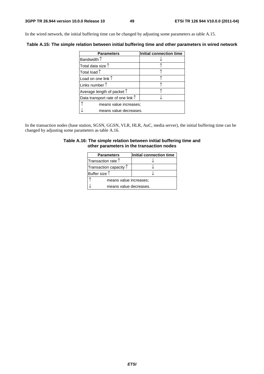In the wired network, the initial buffering time can be changed by adjusting some parameters as table A.15.

**Table A.15: The simple relation between initial buffering time and other parameters in wired network** 

| <b>Parameters</b>                          | Initial connection time |
|--------------------------------------------|-------------------------|
| Bandwidth $\uparrow$                       |                         |
| Total data size $\uparrow$                 |                         |
| Total load $\uparrow$                      |                         |
| Load on one link $\uparrow$                |                         |
| Links number $\uparrow$                    |                         |
| Average length of packet $\uparrow$        |                         |
| Data transport rate of one link $\uparrow$ |                         |
| means value increases;                     |                         |
| means value decreases.                     |                         |

In the transaction nodes (base station, SGSN, GGSN, VLR, HLR, AuC, media server), the initial buffering time can be changed by adjusting some parameters as table A.16.

#### **Table A.16: The simple relation between initial buffering time and other parameters in the transaction nodes**

| <b>Parameters</b>               | Initial connection time |  |  |  |
|---------------------------------|-------------------------|--|--|--|
| Transaction rate $\uparrow$     |                         |  |  |  |
| Transaction capacity $\uparrow$ |                         |  |  |  |
| Buffer size $\uparrow$          |                         |  |  |  |
| means value increases;          |                         |  |  |  |
| means value decreases.          |                         |  |  |  |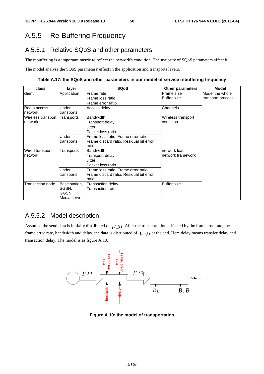## A.5.5 Re-Buffering Frequency

### A.5.5.1 Relative SQoS and other parameters

The rebuffering is a important metric to reflect the network's condition. The majority of SQoS parameters affect it.

The model analyse the SQoS parameters' effect in the application and transports layers.

**Table A.17: the SQoS and other parameters in our model of service rebuffering frequency** 

| class              | layer         | <b>SQoS</b>                             | <b>Other parameters</b> | <b>Model</b>      |
|--------------------|---------------|-----------------------------------------|-------------------------|-------------------|
| client             | Application   | Frame rate                              | Frame size              | Model the whole   |
|                    |               | Frame loss ratio                        | <b>Buffer size</b>      | transport process |
|                    |               | Frame error ratio                       |                         |                   |
| Radio access       | Under         | Access delay                            | Channels                |                   |
| network            | transports    |                                         |                         |                   |
| Wireless transport | Transports    | <b>Bandwidth</b>                        | Wireless transport      |                   |
| network            |               | Transport delay                         | condition               |                   |
|                    |               | Jitter                                  |                         |                   |
|                    |               | Packet loss ratio                       |                         |                   |
|                    | Under         | Frame loss ratio, Frame error ratio,    |                         |                   |
|                    | transports    | Frame discard ratio, Residual bit error |                         |                   |
|                    |               | ratio                                   |                         |                   |
| Wired transport    | Transports    | <b>Bandwidth</b>                        | network load,           |                   |
| network            |               | Transport delay                         | network framework       |                   |
|                    |               | Jitter                                  |                         |                   |
|                    |               | Packet loss ratio                       |                         |                   |
|                    | Under         | Frame loss ratio, Frame error ratio,    |                         |                   |
|                    | transports    | Frame discard ratio, Residual bit error |                         |                   |
|                    |               | ratio                                   |                         |                   |
| Transaction node   | Base station, | Transaction delay                       | <b>Buffer size</b>      |                   |
|                    | SGSN.         | Transaction rate                        |                         |                   |
|                    | GGSN.         |                                         |                         |                   |
|                    | Media server  |                                         |                         |                   |

### A.5.5.2 Model description

Assumed the send data is initially distributed of  $F_0(t)$ . After the transportation, affected by the frame loss rate, the frame error rate, bandwidth and delay, the data is distributed of  $F(t)$  at the end. Here delay means transfer delay and transaction delay. The model is as figure A.10.



**Figure A.10: the model of transportation**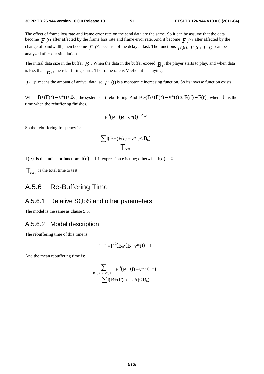The effect of frame loss rate and frame error rate on the send data are the same. So it can be assume that the data become  $F_{\mu}(t)$  after affected by the frame loss rate and frame error rate. And it become  $F_{\mu}(t)$  after affected by the change of bandwidth, then become  $F(t)$  because of the delay at last. The functions  $F_1(t)$ ,  $F_2(t)$ ,  $F(t)$  can be analyzed after our simulation.

The initial data size in the buffer  $B$ . When the data in the buffer exceed  $B_0$ , the player starts to play, and when data is less than  $B<sub>i</sub>$ , the rebuffering starts. The frame rate is V when it is playing.

 $F(t)$  means the amount of arrival data, so  $F(t)$  is a monotonic increasing function. So its inverse function exists.

When  $B+(F(t)-v^*t) < B_+$ , the system start rebuffering. And  $B_0-(B+(F(t)-v^*t)) \leq F(t')-F(t)$ , where  $t'$  is the time when the rebuffering finishes.

$$
F^{-1}(B_0-(B-v^*t)) \leq t'
$$

So the rebuffering frequency is:

$$
\frac{\sum \mathbf{I}(B+(F(t)-v^*t)
$$

I(*e*) is the indicator function: I(*e*) = 1 if expression e is true; otherwise I(*e*) = 0.

 $\mathcal{T}_{\text{test}}$  is the total time to test.

## A.5.6 Re-Buffering Time

#### A.5.6.1 Relative SQoS and other parameters

The model is the same as clause 5.5.

#### A.5.6.2 Model description

The rebuffering time of this time is:

$$
t^-t = F^{-1}(B_0-(B-v^*t)) - t
$$

And the mean rebuffering time is:

$$
\frac{\displaystyle\sum_{B+(F(t)-v^*t)
$$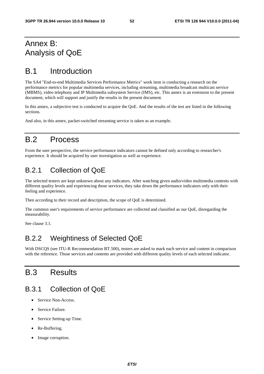## Annex B: Analysis of QoE

## B.1 Introduction

The SA4 "End-to-end Multimedia Services Performance Metrics" work item is conducting a research on the performance metrics for popular multimedia services, including streaming, multimedia broadcast multicast service (MBMS), video telephony and IP Multimedia subsystem Service (IMS), etc. This annex is an extension to the present document, which will support and justify the results in the present document.

In this annex, a subjective test is conducted to acquire the QoE. And the results of the test are listed in the following sections.

And also, in this annex, packet-switched streaming service is taken as an example.

## B.2 Process

From the user perspective, the service performance indicators cannot be defined only according to researcher's experience. It should be acquired by user investigation as well as experience.

## B.2.1 Collection of QoE

The selected testers are kept unknown about any indicators. After watching given audio/video multimedia contents with different quality levels and experiencing those services, they take down the performance indicators only with their feeling and experience.

Then according to their record and description, the scope of QoE is determined.

The common user's requirements of service performance are collected and classified as our QoE, disregarding the measurability.

See clause 3.1.

## B.2.2 Weightiness of Selected QoE

With DSCQS (see ITU-R Recommendation BT.500), testers are asked to mark each service and content in comparison with the reference. Those services and contents are provided with different quality levels of each selected indicator.

## B.3 Results

## B.3.1 Collection of QoE

- Service Non-Access.
- Service Failure.
- Service Setting-up Time.
- Re-Buffering.
- Image corruption.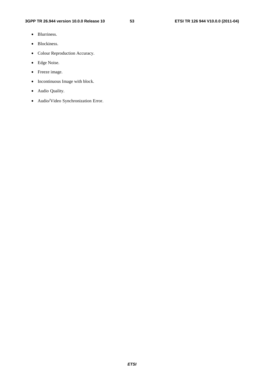- Blurriness.
- Blockiness.
- Colour Reproduction Accuracy.
- Edge Noise.
- Freeze image.
- Incontinuous Image with block.
- Audio Quality.
- Audio/Video Synchronization Error.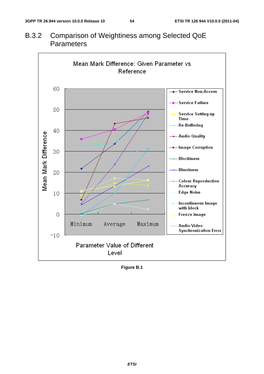

B.3.2 Comparison of Weightiness among Selected QoE **Parameters** 

**Figure B.1**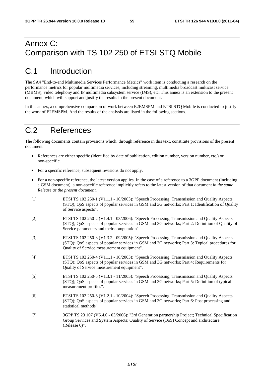## Annex C: Comparison with TS 102 250 of ETSI STQ Mobile

## C.1 Introduction

The SA4 "End-to-end Multimedia Services Performance Metrics" work item is conducting a research on the performance metrics for popular multimedia services, including streaming, multimedia broadcast multicast service (MBMS), video telephony and IP multimedia subsystem service (IMS), etc. This annex is an extension to the present document, which will support and justify the results in the present document.

In this annex, a comprehensive comparison of work between E2EMSPM and ETSI STQ Mobile is conducted to justify the work of E2EMSPM. And the results of the analysis are listed in the following sections.

## C.2 References

The following documents contain provisions which, through reference in this text, constitute provisions of the present document.

- References are either specific (identified by date of publication, edition number, version number, etc.) or non-specific.
- For a specific reference, subsequent revisions do not apply.
- For a non-specific reference, the latest version applies. In the case of a reference to a 3GPP document (including a GSM document), a non-specific reference implicitly refers to the latest version of that document *in the same Release as the present document*.
- [1] ETSI TS 102 250-1 (V1.1.1 10/2003): "Speech Processing, Transmission and Quality Aspects (STQ); QoS aspects of popular services in GSM and 3G networks; Part 1: Identification of Quality of Service aspects".
- [2] ETSI TS 102 250-2 (V1.4.1 03/2006): "Speech Processing, Transmission and Quality Aspects (STQ); QoS aspects of popular services in GSM and 3G networks; Part 2: Definition of Quality of Service parameters and their computation".
- [3] ETSI TS 102 250-3 (V1.3.2 09/2005): "Speech Processing, Transmission and Quality Aspects (STQ); QoS aspects of popular services in GSM and 3G networks; Part 3: Typical procedures for Quality of Service measurement equipment".
- [4] ETSI TS 102 250-4 (V1.1.1 10/2003): "Speech Processing, Transmission and Quality Aspects (STQ); QoS aspects of popular services in GSM and 3G networks; Part 4: Requirements for Quality of Service measurement equipment".
- [5] ETSI TS 102 250-5 (V1.3.1 11/2005): "Speech Processing, Transmission and Quality Aspects (STQ); QoS aspects of popular services in GSM and 3G networks; Part 5: Definition of typical measurement profiles".
- [6] ETSI TS 102 250-6 (V1.2.1 10/2004): "Speech Processing, Transmission and Quality Aspects (STQ); QoS aspects of popular services in GSM and 3G networks; Part 6: Post processing and statistical methods".
- [7] 3GPP TS 23 107 (V6.4.0 03/2006): "3rd Generation partnership Project; Technical Specification Group Services and System Aspects; Quality of Service (QoS) Concept and architecture (Release 6)".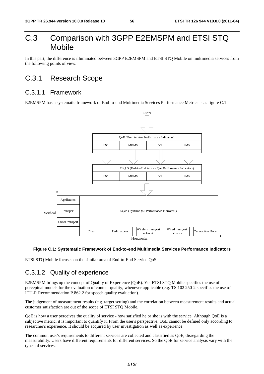## C.3 Comparison with 3GPP E2EMSPM and ETSI STQ Mobile

In this part, the difference is illuminated between 3GPP E2EMSPM and ETSI STQ Mobile on multimedia services from the following points of view.

## C.3.1 Research Scope

### C.3.1.1 Framework

E2EMSPM has a systematic framework of End-to-end Multimedia Services Performance Metrics is as figure C.1.



#### **Figure C.1: Systematic Framework of End-to-end Multimedia Services Performance Indicators**

ETSI STQ Mobile focuses on the similar area of End-to-End Service QoS.

### C.3.1.2 Quality of experience

Client Radio access Horizontal<br>
Horizontal<br>
Horizontal<br>
imilar area of End-to-End Service QoS.<br> **Clience**<br> **Clience**<br> **Clience**<br> **Clience**<br> **Clience**<br> **Clience**<br> **Clience**<br> **Clience**<br> **Clience**<br> **Clience**<br> **Clience**<br> **Clie** Ital<br>Iltime<br>ce Qo<br>Yet E<br>applic<br>correl<br>ne or s<br>spective<br>as well<br>and c<br>S. S The Mobile strategy<br>
The Mobile strategy<br>
TS 102 2.<br>
TS 102 2.<br>
TS 102 2.<br>
Etween mea:<br>
ith the service.<br>
d as QoE, d<br>
oE for service. network<br>
ices Performance Indi<br>
IS 102 250-2 specifies th<br>
rean measurement results<br>
the service. Although Qo<br>
innot be defined only acc<br>
rience.<br>
s QoE, disregarding the<br>
l' for service analysis vary E2EMSPM brings up the concept of Quality of Experience (QoE). Yet ETSI STQ Mobile specifies the use of perceptual models for the evaluation of content quality, whenever applicable (e.g. TS 102 250-2 specifies the use of ITU-R Recommendation P.862.2 for speech quality evaluation).

The judgement of measurement results (e.g. target setting) and the correlation between measurement results and actual customer satisfaction are out of the scope of ETSI STQ Mobile.

QoE is how a user perceives the quality of service - how satisfied he or she is with the service. Although QoE is a subjective metric, it is important to quantify it. From the user's perspective, QoE cannot be defined only according to researcher's experience. It should be acquired by user investigation as well as experience.

The common user's requirements to different services are collected and classified as QoE, disregarding the measurability. Users have different requirements for different services. So the QoE for service analysis vary with the types of services.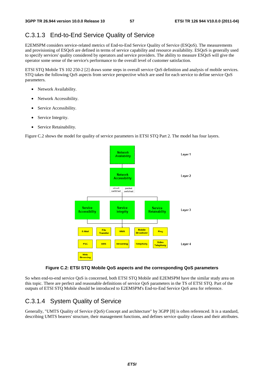### C.3.1.3 End-to-End Service Quality of Service

E2EMSPM considers service-related metrics of End-to-End Service Quality of Service (ESQoS). The measurements and provisioning of ESQoS are defined in terms of service capability and resource availability. ESQoS is generally used to specify services' quality considered by operators and service providers. The ability to measure ESQoS will give the operator some sense of the service's performance to the overall level of customer satisfaction.

ETSI STQ Mobile TS 102 250-2 [2] draws some steps in overall service QoS definition and analysis of mobile services. STQ takes the following QoS aspects from service perspective which are used for each service to define service QoS parameters.

- Network Availability.
- Network Accessibility.
- Service Accessibility.
- Service Integrity.
- Service Retainability.

Figure C.2 shows the model for quality of service parameters in ETSI STQ Part 2. The model has four layers.



#### **Figure C.2: ETSI STQ Mobile QoS aspects and the corresponding QoS parameters**

So when end-to-end service QoS is concerned, both ETSI STQ Mobile and E2EMSPM have the similar study area on this topic. There are perfect and reasonable definitions of service QoS parameters in the TS of ETSI STQ. Part of the outputs of ETSI STQ Mobile should be introduced to E2EMSPM's End-to-End Service QoS area for reference.

### C.3.1.4 System Quality of Service

Generally, "UMTS Quality of Service (QoS) Concept and architecture" by 3GPP [8] is often referenced. It is a standard, describing UMTS bearers' structure, their management functions, and defines service quality classes and their attributes.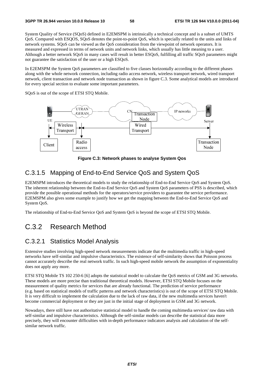System Quality of Service (SQoS) defined in E2EMSPM is intrinsically a technical concept and is a subset of UMTS QoS. Compared with ESQOS, SQoS denotes the point-to-point QoS, which is specially related to the units and links of network systems. SQoS can be viewed as the QoS consideration from the viewpoint of network operators. It is measured and expressed in terms of network units and network links, which usually has little meaning to a user. Although a better network SQoS in many cases will result in better ESQoS, fulfilling all traffic SQoS parameters might not guarantee the satisfaction of the user or a high ESQoS.

In E2EMSPM the System QoS parameters are classified to five classes horizontally according to the different phases along with the whole network connection, including radio access network, wireless transport network, wired transport network, client transaction and network node transaction as shown in figure C.3. Some analytical models are introduced for every special section to evaluate some important parameters.

SQoS is out of the scope of ETSI STQ Mobile.



**Figure C.3: Network phases to analyse System Qos** 

### C.3.1.5 Mapping of End-to-End Service QoS and System QoS

E2EMSPM introduces the theoretical models to study the relationship of End-to-End Service QoS and System QoS. The inherent relationship between the End-to-End Service QoS and System QoS parameters of PSS is described, which provide the possible operational methods for the operators/service providers to guarantee the service performance. E2EMSPM also gives some example to justify how we get the mapping between the End-to-End Service QoS and System QoS.

The relationship of End-to-End Service QoS and System QoS is beyond the scope of ETSI STQ Mobile.

## C.3.2 Research Method

#### C.3.2.1 Statistics Model Analysis

Extensive studies involving high-speed network measurements indicate that the multimedia traffic in high-speed networks have self-similar and impulsive characteristics. The existence of self-similarity shows that Poisson process cannot accurately describe the real network traffic. In such high-speed mobile network the assumption of exponentiality does not apply any more.

ETSI STQ Mobile TS 102 250-6 [6] adopts the statistical model to calculate the QoS metrics of GSM and 3G networks. These models are more precise than traditional theoretical models. However, ETSI STQ Mobile focuses on the measurement of quality metrics for services that are already functional. The prediction of service performance (e.g. based on statistical models of traffic patterns and network characteristics) is out of the scope of ETSI STQ Mobile. It is very difficult to implement the calculation due to the lack of raw data, if the new multimedia services haven't become commercial deployment or they are just in the initial stage of deployment in GSM and 3G network.

Nowadays, there still have not authoritative statistical model to handle the coming multimedia services' raw data with self-similar and impulsive characteristics. Although the self-similar models can describe the statistical data more precisely, they will encounter difficulties with in-depth performance indicators analysis and calculation of the selfsimilar network traffic.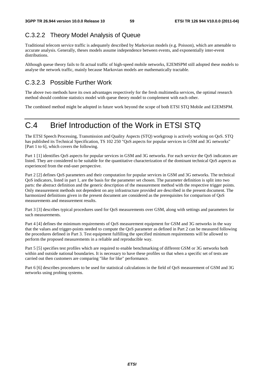## C.3.2.2 Theory Model Analysis of Queue

Traditional telecom service traffic is adequately described by Markovian models (e.g. Poisson), which are amenable to accurate analysis. Generally, theses models assume independence between events, and exponentially inter-event distributions.

Although queue theory fails to fit actual traffic of high-speed mobile networks, E2EMSPM still adopted these models to analyse the network traffic, mainly because Markovian models are mathematically tractable.

## C.3.2.3 Possible Further Work

The above two methods have its own advantages respectively for the fresh multimedia services, the optimal research method should combine statistics model with queue theory model to complement with each other.

The combined method might be adopted in future work beyond the scope of both ETSI STQ Mobile and E2EMSPM.

## C.4 Brief Introduction of the Work in ETSI STQ

The ETSI Speech Processing, Transmission and Quality Aspects (STQ) workgroup is actively working on QoS. STQ has published its Technical Specification, TS 102 250 "QoS aspects for popular services in GSM and 3G networks" [Part 1 to 6], which covers the following.

Part 1 [1] identifies QoS aspects for popular services in GSM and 3G networks. For each service the QoS indicators are listed. They are considered to be suitable for the quantitative characterization of the dominant technical QoS aspects as experienced from the end-user perspective.

Part 2 [2] defines QoS parameters and their computation for popular services in GSM and 3G networks. The technical QoS indicators, listed in part 1, are the basis for the parameter set chosen. The parameter definition is split into two parts: the abstract definition and the generic description of the measurement method with the respective trigger points. Only measurement methods not dependent on any infrastructure provided are described in the present document. The harmonized definitions given in the present document are considered as the prerequisites for comparison of QoS measurements and measurement results.

Part 3 [3] describes typical procedures used for QoS measurements over GSM, along with settings and parameters for such measurements.

Part 4 [4] defines the minimum requirements of QoS measurement equipment for GSM and 3G networks in the way that the values and trigger-points needed to compute the QoS parameter as defined in Part 2 can be measured following the procedures defined in Part 3. Test equipment fulfilling the specified minimum requirements will be allowed to perform the proposed measurements in a reliable and reproducible way.

Part 5 [5] specifies test profiles which are required to enable benchmarking of different GSM or 3G networks both within and outside national boundaries. It is necessary to have these profiles so that when a specific set of tests are carried out then customers are comparing "like for like" performance.

Part 6 [6] describes procedures to be used for statistical calculations in the field of QoS measurement of GSM and 3G networks using probing systems.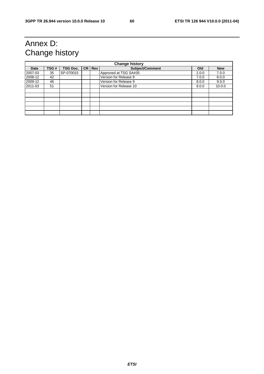## Annex D: Change history

| <b>Change history</b> |      |                 |  |          |                        |       |            |
|-----------------------|------|-----------------|--|----------|------------------------|-------|------------|
| Date                  | TSG# | <b>TSG Doc.</b> |  | CR   Rev | Subject/Comment        | Old   | <b>New</b> |
| 2007-03               | 35   | SP-070015       |  |          | Approved at TSG SA#35  | 2.0.0 | 7.0.0      |
| 2008-12               | 42   |                 |  |          | Version for Release 8  | 7.0.0 | 8.0.0      |
| 2009-12               | 46   |                 |  |          | Version for Release 9  | 8.0.0 | 9.0.0      |
| 2011-03               | 51   |                 |  |          | Version for Release 10 | 9.0.0 | 10.0.0     |
|                       |      |                 |  |          |                        |       |            |
|                       |      |                 |  |          |                        |       |            |
|                       |      |                 |  |          |                        |       |            |
|                       |      |                 |  |          |                        |       |            |
|                       |      |                 |  |          |                        |       |            |
|                       |      |                 |  |          |                        |       |            |